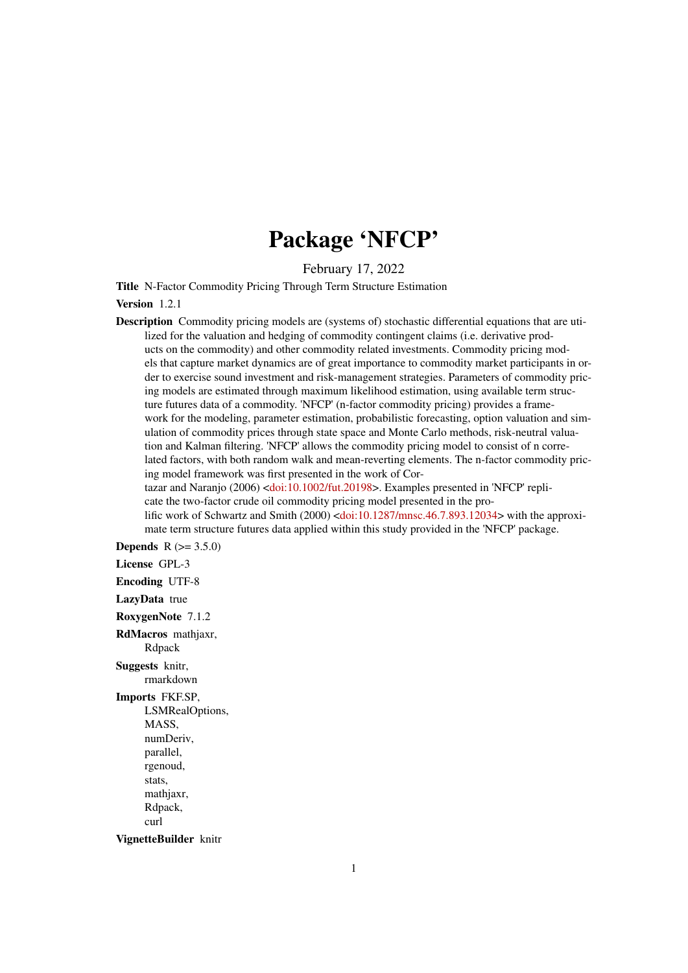# Package 'NFCP'

February 17, 2022

Title N-Factor Commodity Pricing Through Term Structure Estimation

#### Version 1.2.1

Description Commodity pricing models are (systems of) stochastic differential equations that are utilized for the valuation and hedging of commodity contingent claims (i.e. derivative products on the commodity) and other commodity related investments. Commodity pricing models that capture market dynamics are of great importance to commodity market participants in order to exercise sound investment and risk-management strategies. Parameters of commodity pricing models are estimated through maximum likelihood estimation, using available term structure futures data of a commodity. 'NFCP' (n-factor commodity pricing) provides a framework for the modeling, parameter estimation, probabilistic forecasting, option valuation and simulation of commodity prices through state space and Monte Carlo methods, risk-neutral valuation and Kalman filtering. 'NFCP' allows the commodity pricing model to consist of n correlated factors, with both random walk and mean-reverting elements. The n-factor commodity pricing model framework was first presented in the work of Cortazar and Naranjo (2006) [<doi:10.1002/fut.20198>](https://doi.org/10.1002/fut.20198). Examples presented in 'NFCP' replicate the two-factor crude oil commodity pricing model presented in the prolific work of Schwartz and Smith  $(2000)$  [<doi:10.1287/mnsc.46.7.893.12034>](https://doi.org/10.1287/mnsc.46.7.893.12034) with the approximate term structure futures data applied within this study provided in the 'NFCP' package. **Depends** R  $(>= 3.5.0)$ License GPL-3 Encoding UTF-8 LazyData true

RoxygenNote 7.1.2

RdMacros mathjaxr,

Rdpack

Suggests knitr, rmarkdown

Imports FKF.SP,

LSMRealOptions, MASS, numDeriv, parallel, rgenoud, stats, mathjaxr, Rdpack, curl

VignetteBuilder knitr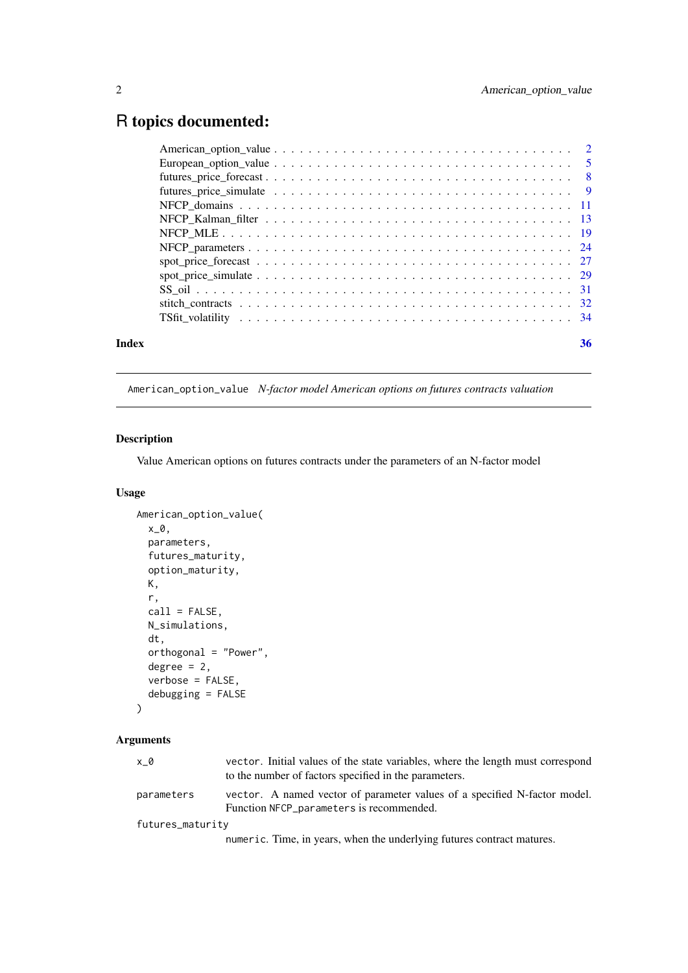# <span id="page-1-0"></span>R topics documented:

| Index | 36 |
|-------|----|
|       |    |

#### American\_option\_value *N-factor model American options on futures contracts valuation*

#### Description

Value American options on futures contracts under the parameters of an N-factor model

#### Usage

```
American_option_value(
  x_0,
  parameters,
  futures_maturity,
  option_maturity,
  K,
  r,
  call = FALSE,N_simulations,
  dt,
  orthogonal = "Power",
  degree = 2,
  verbose = FALSE,
  debugging = FALSE
\lambda
```

| x 0              | vector. Initial values of the state variables, where the length must correspond<br>to the number of factors specified in the parameters. |
|------------------|------------------------------------------------------------------------------------------------------------------------------------------|
| parameters       | vector. A named vector of parameter values of a specified N-factor model.<br>Function NFCP_parameters is recommended.                    |
| futures_maturity |                                                                                                                                          |
|                  | numeric. Time, in years, when the underlying futures contract matures.                                                                   |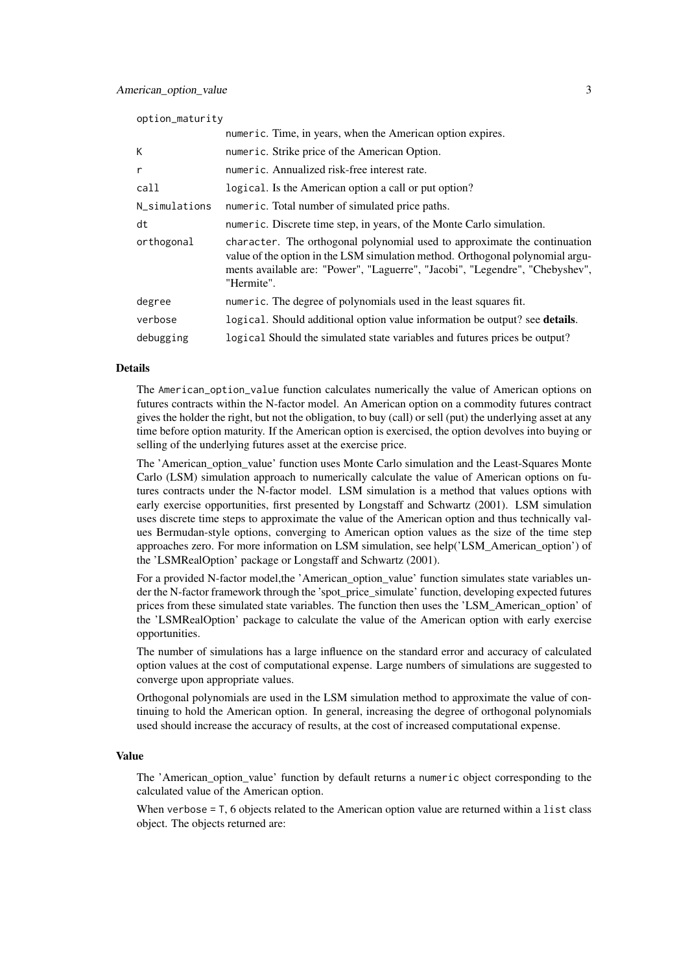| option_maturity |                                                                                                                                                                                                                                                          |  |
|-----------------|----------------------------------------------------------------------------------------------------------------------------------------------------------------------------------------------------------------------------------------------------------|--|
|                 | numeric. Time, in years, when the American option expires.                                                                                                                                                                                               |  |
| К               | numeric. Strike price of the American Option.                                                                                                                                                                                                            |  |
| r               | numeric. Annualized risk-free interest rate.                                                                                                                                                                                                             |  |
| call            | logical. Is the American option a call or put option?                                                                                                                                                                                                    |  |
| N_simulations   | numeric. Total number of simulated price paths.                                                                                                                                                                                                          |  |
| dt              | numeric. Discrete time step, in years, of the Monte Carlo simulation.                                                                                                                                                                                    |  |
| orthogonal      | character. The orthogonal polynomial used to approximate the continuation<br>value of the option in the LSM simulation method. Orthogonal polynomial argu-<br>ments available are: "Power", "Laguerre", "Jacobi", "Legendre", "Chebyshev",<br>"Hermite". |  |
| degree          | numeric. The degree of polynomials used in the least squares fit.                                                                                                                                                                                        |  |
| verbose         | logical. Should additional option value information be output? see details.                                                                                                                                                                              |  |
| debugging       | logical Should the simulated state variables and futures prices be output?                                                                                                                                                                               |  |

#### Details

The American option value function calculates numerically the value of American options on futures contracts within the N-factor model. An American option on a commodity futures contract gives the holder the right, but not the obligation, to buy (call) or sell (put) the underlying asset at any time before option maturity. If the American option is exercised, the option devolves into buying or selling of the underlying futures asset at the exercise price.

The 'American option value' function uses Monte Carlo simulation and the Least-Squares Monte Carlo (LSM) simulation approach to numerically calculate the value of American options on futures contracts under the N-factor model. LSM simulation is a method that values options with early exercise opportunities, first presented by Longstaff and Schwartz (2001). LSM simulation uses discrete time steps to approximate the value of the American option and thus technically values Bermudan-style options, converging to American option values as the size of the time step approaches zero. For more information on LSM simulation, see help('LSM\_American\_option') of the 'LSMRealOption' package or Longstaff and Schwartz (2001).

For a provided N-factor model,the 'American\_option\_value' function simulates state variables under the N-factor framework through the 'spot\_price\_simulate' function, developing expected futures prices from these simulated state variables. The function then uses the 'LSM\_American\_option' of the 'LSMRealOption' package to calculate the value of the American option with early exercise opportunities.

The number of simulations has a large influence on the standard error and accuracy of calculated option values at the cost of computational expense. Large numbers of simulations are suggested to converge upon appropriate values.

Orthogonal polynomials are used in the LSM simulation method to approximate the value of continuing to hold the American option. In general, increasing the degree of orthogonal polynomials used should increase the accuracy of results, at the cost of increased computational expense.

#### Value

The 'American\_option\_value' function by default returns a numeric object corresponding to the calculated value of the American option.

When verbose = T, 6 objects related to the American option value are returned within a list class object. The objects returned are: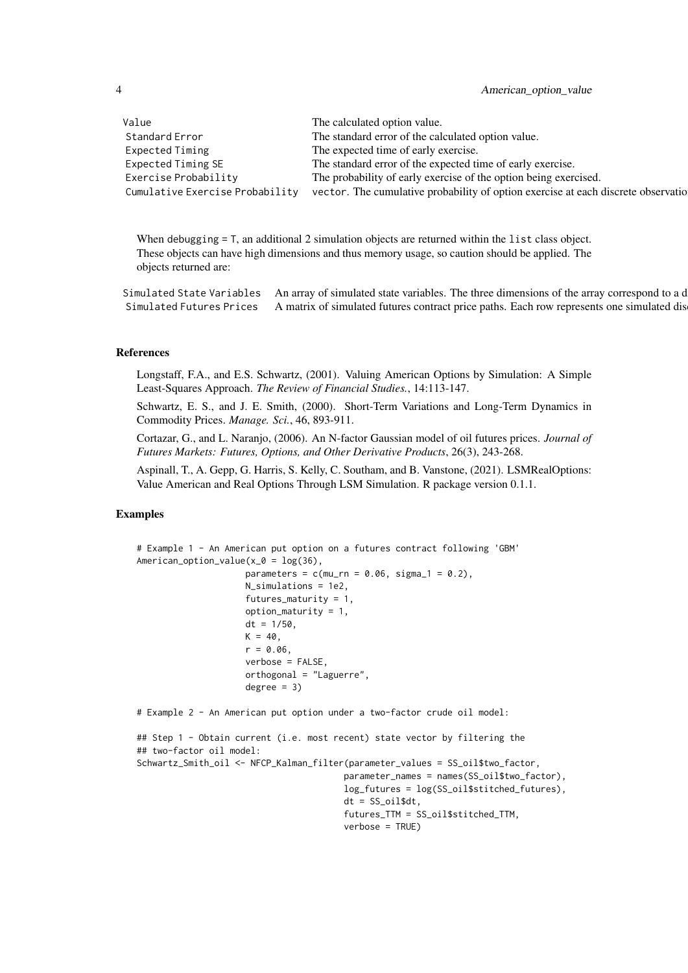4 American\_option\_value

| Value                           | The calculated option value.                                                      |
|---------------------------------|-----------------------------------------------------------------------------------|
| <b>Standard Error</b>           | The standard error of the calculated option value.                                |
| Expected Timing                 | The expected time of early exercise.                                              |
| Expected Timing SE              | The standard error of the expected time of early exercise.                        |
| Exercise Probability            | The probability of early exercise of the option being exercised.                  |
| Cumulative Exercise Probability | vector. The cumulative probability of option exercise at each discrete observatio |
|                                 |                                                                                   |

When debugging = T, an additional 2 simulation objects are returned within the list class object. These objects can have high dimensions and thus memory usage, so caution should be applied. The objects returned are:

Simulated State Variables An array of simulated state variables. The three dimensions of the array correspond to a d Simulated Futures Prices A matrix of simulated futures contract price paths. Each row represents one simulated dis

#### References

Longstaff, F.A., and E.S. Schwartz, (2001). Valuing American Options by Simulation: A Simple Least-Squares Approach. *The Review of Financial Studies.*, 14:113-147.

Schwartz, E. S., and J. E. Smith, (2000). Short-Term Variations and Long-Term Dynamics in Commodity Prices. *Manage. Sci.*, 46, 893-911.

Cortazar, G., and L. Naranjo, (2006). An N-factor Gaussian model of oil futures prices. *Journal of Futures Markets: Futures, Options, and Other Derivative Products*, 26(3), 243-268.

Aspinall, T., A. Gepp, G. Harris, S. Kelly, C. Southam, and B. Vanstone, (2021). LSMRealOptions: Value American and Real Options Through LSM Simulation. R package version 0.1.1.

#### Examples

```
# Example 1 - An American put option on a futures contract following 'GBM'
American_option_value(x_0 = \log(36),
                     parameters = c(mu_r - 0.06, sigma_1 = 0.2),
                     N_simulations = 1e2,
                     futures_maturity = 1,
                     option_maturity = 1,
                     dt = 1/50,
                     K = 40,
                     r = 0.06.
                     verbose = FALSE,
                     orthogonal = "Laguerre",
                     degree = 3)
```
# Example 2 - An American put option under a two-factor crude oil model:

```
## Step 1 - Obtain current (i.e. most recent) state vector by filtering the
## two-factor oil model:
Schwartz_Smith_oil <- NFCP_Kalman_filter(parameter_values = SS_oil$two_factor,
                                        parameter_names = names(SS_oil$two_factor),
                                        log_futures = log(SS_oil$stitched_futures),
                                        dt = SS_oil$dt,
                                        futures_TTM = SS_oil$stitched_TTM,
                                        verbose = TRUE)
```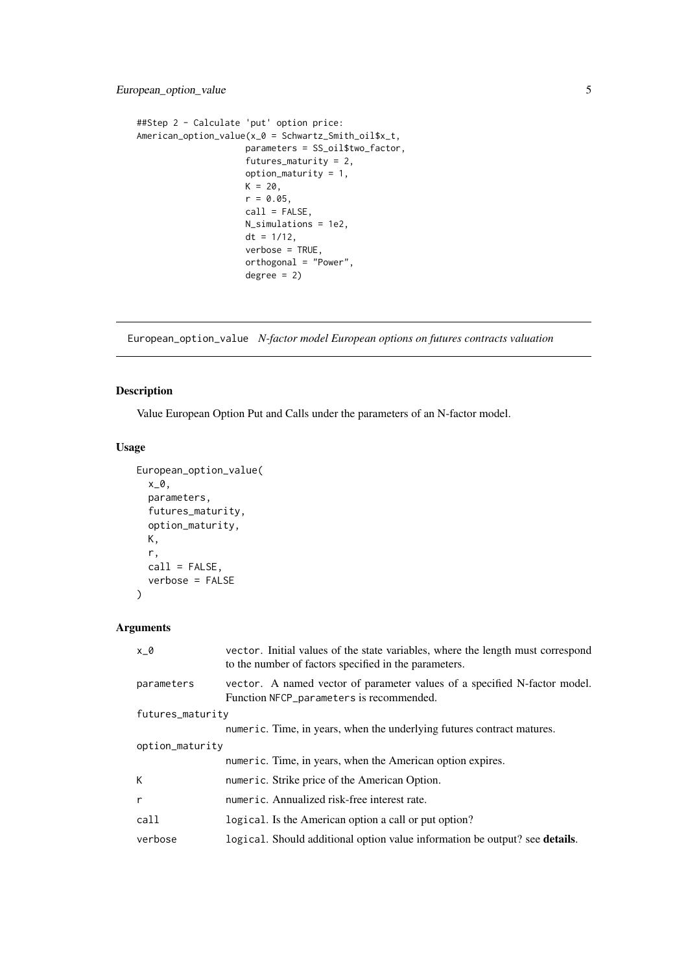```
##Step 2 - Calculate 'put' option price:
American_option_value(x_0 = Schwartz_Smith_oil$x_t,
                     parameters = SS_oil$two_factor,
                     futures_maturity = 2,
                     option_maturity = 1,
                     K = 20,
                     r = 0.05,
                     call = FALSE,N_simulations = 1e2,
                     dt = 1/12.
                     verbose = TRUE,
                     orthogonal = "Power",
                     degree = 2)
```
European\_option\_value *N-factor model European options on futures contracts valuation*

#### Description

Value European Option Put and Calls under the parameters of an N-factor model.

#### Usage

```
European_option_value(
  x_0,
  parameters,
  futures_maturity,
  option_maturity,
  K,
  r,
  call = FALSE,verbose = FALSE
)
```

| x_0              | vector. Initial values of the state variables, where the length must correspond<br>to the number of factors specified in the parameters. |  |
|------------------|------------------------------------------------------------------------------------------------------------------------------------------|--|
| parameters       | vector. A named vector of parameter values of a specified N-factor model.<br>Function NFCP_parameters is recommended.                    |  |
| futures_maturity |                                                                                                                                          |  |
|                  | numeric. Time, in years, when the underlying futures contract matures.                                                                   |  |
| option_maturity  |                                                                                                                                          |  |
|                  | numeric. Time, in years, when the American option expires.                                                                               |  |
| К                | numeric. Strike price of the American Option.                                                                                            |  |
| $\mathsf{r}$     | numeric. Annualized risk-free interest rate.                                                                                             |  |
| call             | logical. Is the American option a call or put option?                                                                                    |  |
| verbose          | logical. Should additional option value information be output? see <b>details</b> .                                                      |  |
|                  |                                                                                                                                          |  |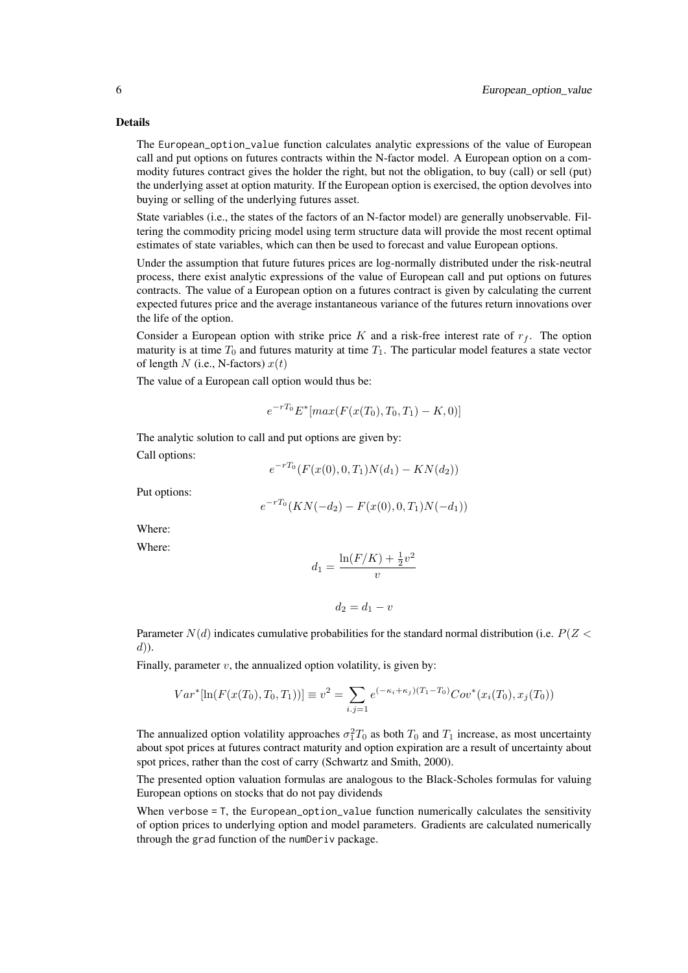#### Details

The European\_option\_value function calculates analytic expressions of the value of European call and put options on futures contracts within the N-factor model. A European option on a commodity futures contract gives the holder the right, but not the obligation, to buy (call) or sell (put) the underlying asset at option maturity. If the European option is exercised, the option devolves into buying or selling of the underlying futures asset.

State variables (i.e., the states of the factors of an N-factor model) are generally unobservable. Filtering the commodity pricing model using term structure data will provide the most recent optimal estimates of state variables, which can then be used to forecast and value European options.

Under the assumption that future futures prices are log-normally distributed under the risk-neutral process, there exist analytic expressions of the value of European call and put options on futures contracts. The value of a European option on a futures contract is given by calculating the current expected futures price and the average instantaneous variance of the futures return innovations over the life of the option.

Consider a European option with strike price K and a risk-free interest rate of  $r_f$ . The option maturity is at time  $T_0$  and futures maturity at time  $T_1$ . The particular model features a state vector of length N (i.e., N-factors)  $x(t)$ 

The value of a European call option would thus be:

$$
e^{-rT_0}E^*[max(F(x(T_0), T_0, T_1) - K, 0)]
$$

The analytic solution to call and put options are given by: Call options:

 $e^{-rT_0}(F(x(0),0,T_1)N(d_1) - KN(d_2))$ 

Put options:

$$
e^{-rT_0}(KN(-d_2) - F(x(0), 0, T_1)N(-d_1))
$$

Where:

Where:

$$
d_1 = \frac{\ln(F/K) + \frac{1}{2}v^2}{v}
$$

$$
d_2 = d_1 - v
$$

Parameter  $N(d)$  indicates cumulative probabilities for the standard normal distribution (i.e.  $P(Z \leq$ d)).

Finally, parameter  $v$ , the annualized option volatility, is given by:

$$
Var^*[\ln(F(x(T_0), T_0, T_1))] \equiv v^2 = \sum_{i,j=1} e^{(-\kappa_i + \kappa_j)(T_1 - T_0)} Cov^*(x_i(T_0), x_j(T_0))
$$

The annualized option volatility approaches  $\sigma_1^2 T_0$  as both  $T_0$  and  $T_1$  increase, as most uncertainty about spot prices at futures contract maturity and option expiration are a result of uncertainty about spot prices, rather than the cost of carry (Schwartz and Smith, 2000).

The presented option valuation formulas are analogous to the Black-Scholes formulas for valuing European options on stocks that do not pay dividends

When verbose = T, the European\_option\_value function numerically calculates the sensitivity of option prices to underlying option and model parameters. Gradients are calculated numerically through the grad function of the numDeriv package.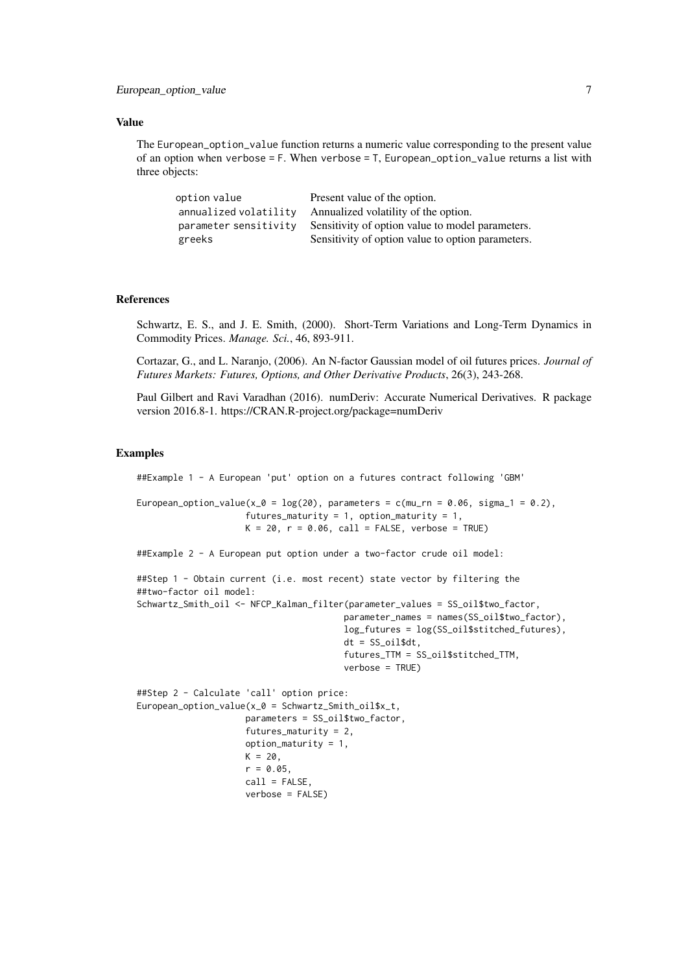#### Value

The European\_option\_value function returns a numeric value corresponding to the present value of an option when verbose = F. When verbose = T, European\_option\_value returns a list with three objects:

| option value          | Present value of the option.                      |
|-----------------------|---------------------------------------------------|
| annualized volatility | Annualized volatility of the option.              |
| parameter sensitivity | Sensitivity of option value to model parameters.  |
| greeks                | Sensitivity of option value to option parameters. |

#### References

Schwartz, E. S., and J. E. Smith, (2000). Short-Term Variations and Long-Term Dynamics in Commodity Prices. *Manage. Sci.*, 46, 893-911.

Cortazar, G., and L. Naranjo, (2006). An N-factor Gaussian model of oil futures prices. *Journal of Futures Markets: Futures, Options, and Other Derivative Products*, 26(3), 243-268.

Paul Gilbert and Ravi Varadhan (2016). numDeriv: Accurate Numerical Derivatives. R package version 2016.8-1. https://CRAN.R-project.org/package=numDeriv

#### Examples

##Example 1 - A European 'put' option on a futures contract following 'GBM'

```
European option value(x \theta = \log(2\theta), parameters = c(mu rn = 0.06, sigma 1 = 0.2),
                      futures_maturity = 1, option_maturity = 1,
                      K = 20, r = 0.06, call = FALSE, verbose = TRUE)
```
##Example 2 - A European put option under a two-factor crude oil model:

```
##Step 1 - Obtain current (i.e. most recent) state vector by filtering the
##two-factor oil model:
Schwartz_Smith_oil <- NFCP_Kalman_filter(parameter_values = SS_oil$two_factor,
                                        parameter_names = names(SS_oil$two_factor),
                                        log_futures = log(SS_oil$stitched_futures),
                                        dt = SS_oil$dt,
                                        futures_TTM = SS_oil$stitched_TTM,
                                        verbose = TRUE)
##Step 2 - Calculate 'call' option price:
European_option_value(x_0 = Schwartz_Smith_oil$x_t,
                     parameters = SS_oil$two_factor,
                     futures_maturity = 2,
                     option_maturity = 1,
```

```
K = 20.
r = 0.05.
call = FALSE,
```
verbose = FALSE)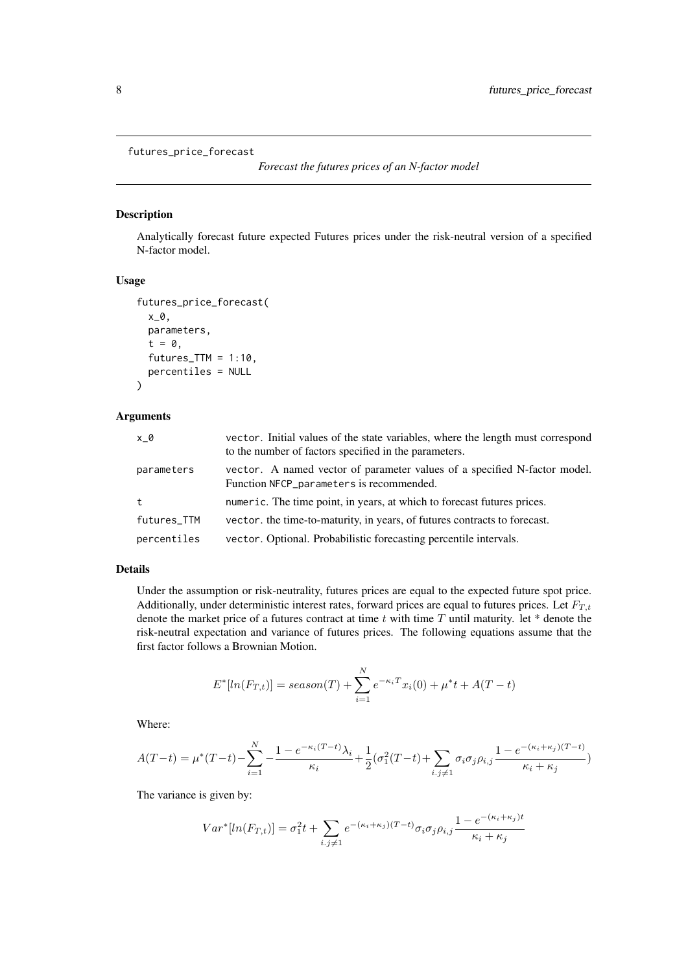```
futures_price_forecast
```
#### Description

Analytically forecast future expected Futures prices under the risk-neutral version of a specified N-factor model.

#### Usage

```
futures_price_forecast(
  x_0,
  parameters,
  t = 0,
  futures\_TTM = 1:10,percentiles = NULL
\lambda
```
#### Arguments

| x 0         | vector. Initial values of the state variables, where the length must correspond<br>to the number of factors specified in the parameters. |
|-------------|------------------------------------------------------------------------------------------------------------------------------------------|
| parameters  | vector. A named vector of parameter values of a specified N-factor model.<br>Function NFCP_parameters is recommended.                    |
| t           | numeric. The time point, in years, at which to forecast futures prices.                                                                  |
| futures_TTM | vector. the time-to-maturity, in years, of futures contracts to forecast.                                                                |
| percentiles | vector. Optional. Probabilistic forecasting percentile intervals.                                                                        |

#### Details

Under the assumption or risk-neutrality, futures prices are equal to the expected future spot price. Additionally, under deterministic interest rates, forward prices are equal to futures prices. Let  $F_{T,t}$ denote the market price of a futures contract at time  $t$  with time  $T$  until maturity. let \* denote the risk-neutral expectation and variance of futures prices. The following equations assume that the first factor follows a Brownian Motion.

$$
E^*[ln(F_{T,t})] = season(T) + \sum_{i=1}^N e^{-\kappa_i T} x_i(0) + \mu^* t + A(T-t)
$$

Where:

$$
A(T-t) = \mu^*(T-t) - \sum_{i=1}^N \frac{1 - e^{-\kappa_i(T-t)}\lambda_i}{\kappa_i} + \frac{1}{2}(\sigma_1^2(T-t) + \sum_{i,j \neq 1} \sigma_i \sigma_j \rho_{i,j} \frac{1 - e^{-(\kappa_i + \kappa_j)(T-t)}}{\kappa_i + \kappa_j})
$$

The variance is given by:

$$
Var^*[ln(F_{T,t})] = \sigma_1^2 t + \sum_{i,j \neq 1} e^{-(\kappa_i + \kappa_j)(T-t)} \sigma_i \sigma_j \rho_{i,j} \frac{1 - e^{-(\kappa_i + \kappa_j)t}}{\kappa_i + \kappa_j}
$$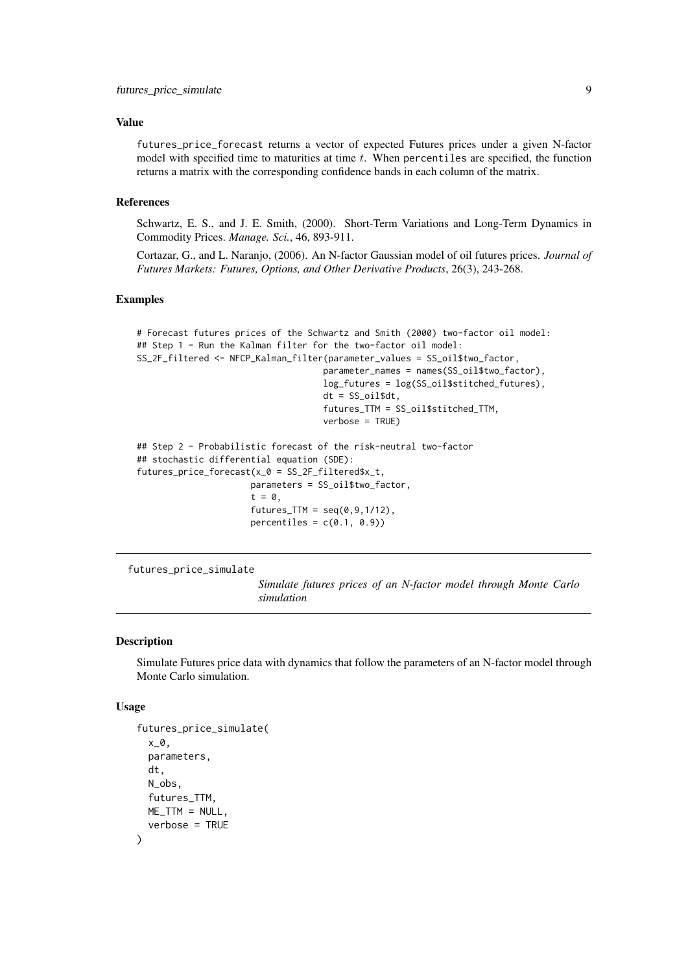#### <span id="page-8-0"></span>Value

futures\_price\_forecast returns a vector of expected Futures prices under a given N-factor model with specified time to maturities at time  $t$ . When percentiles are specified, the function returns a matrix with the corresponding confidence bands in each column of the matrix.

#### References

Schwartz, E. S., and J. E. Smith, (2000). Short-Term Variations and Long-Term Dynamics in Commodity Prices. *Manage. Sci.*, 46, 893-911.

Cortazar, G., and L. Naranjo, (2006). An N-factor Gaussian model of oil futures prices. *Journal of Futures Markets: Futures, Options, and Other Derivative Products*, 26(3), 243-268.

#### Examples

```
# Forecast futures prices of the Schwartz and Smith (2000) two-factor oil model:
## Step 1 - Run the Kalman filter for the two-factor oil model:
SS_2F_filtered <- NFCP_Kalman_filter(parameter_values = SS_oil$two_factor,
                                    parameter_names = names(SS_oil$two_factor),
                                    log_futures = log(SS_oil$stitched_futures),
                                    dt = SS_oil$dt,
                                    futures_TTM = SS_oil$stitched_TTM,
                                    verbose = TRUE)
## Step 2 - Probabilistic forecast of the risk-neutral two-factor
## stochastic differential equation (SDE):
futures_price_forecast(x_0 = SS_2F_filtered$x_t,
                      parameters = SS_oil$two_factor,
                      t = 0,
                      futures\_TTM = seq(0, 9, 1/12),
                      percentiles = c(0.1, 0.9)
```
futures\_price\_simulate

*Simulate futures prices of an N-factor model through Monte Carlo simulation*

#### Description

Simulate Futures price data with dynamics that follow the parameters of an N-factor model through Monte Carlo simulation.

#### Usage

```
futures_price_simulate(
  x_0,
 parameters,
 dt,
 N_obs,
  futures_TTM,
 ME\_TTM = NULL,
  verbose = TRUE
)
```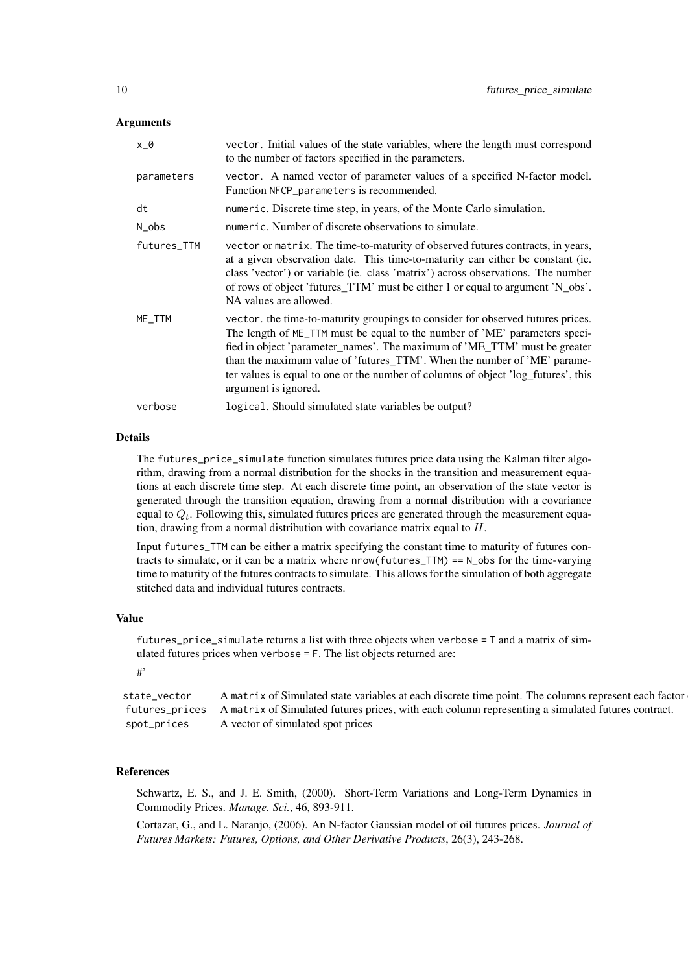#### Arguments

| $x_0$       | vector. Initial values of the state variables, where the length must correspond<br>to the number of factors specified in the parameters.                                                                                                                                                                                                                                                                                            |
|-------------|-------------------------------------------------------------------------------------------------------------------------------------------------------------------------------------------------------------------------------------------------------------------------------------------------------------------------------------------------------------------------------------------------------------------------------------|
| parameters  | vector. A named vector of parameter values of a specified N-factor model.<br>Function NFCP_parameters is recommended.                                                                                                                                                                                                                                                                                                               |
| dt          | numeric. Discrete time step, in years, of the Monte Carlo simulation.                                                                                                                                                                                                                                                                                                                                                               |
| N_obs       | numeric. Number of discrete observations to simulate.                                                                                                                                                                                                                                                                                                                                                                               |
| futures_TTM | vector or matrix. The time-to-maturity of observed futures contracts, in years,<br>at a given observation date. This time-to-maturity can either be constant (ie.<br>class 'vector') or variable (ie. class 'matrix') across observations. The number<br>of rows of object 'futures_TTM' must be either 1 or equal to argument 'N_obs'.<br>NA values are allowed.                                                                   |
| ME_TTM      | vector. the time-to-maturity groupings to consider for observed futures prices.<br>The length of ME_TTM must be equal to the number of 'ME' parameters speci-<br>fied in object 'parameter_names'. The maximum of 'ME_TTM' must be greater<br>than the maximum value of 'futures_TTM'. When the number of 'ME' parame-<br>ter values is equal to one or the number of columns of object 'log_futures', this<br>argument is ignored. |
| verbose     | logical. Should simulated state variables be output?                                                                                                                                                                                                                                                                                                                                                                                |

#### Details

The futures\_price\_simulate function simulates futures price data using the Kalman filter algorithm, drawing from a normal distribution for the shocks in the transition and measurement equations at each discrete time step. At each discrete time point, an observation of the state vector is generated through the transition equation, drawing from a normal distribution with a covariance equal to  $Q_t$ . Following this, simulated futures prices are generated through the measurement equation, drawing from a normal distribution with covariance matrix equal to H.

Input futures\_TTM can be either a matrix specifying the constant time to maturity of futures contracts to simulate, or it can be a matrix where nrow(futures\_TTM) == N\_obs for the time-varying time to maturity of the futures contracts to simulate. This allows for the simulation of both aggregate stitched data and individual futures contracts.

#### Value

futures\_price\_simulate returns a list with three objects when verbose = T and a matrix of simulated futures prices when verbose = F. The list objects returned are: #'

state\_vector A matrix of Simulated state variables at each discrete time point. The columns represent each factor futures\_prices A matrix of Simulated futures prices, with each column representing a simulated futures contract. spot\_prices A vector of simulated spot prices

#### References

Schwartz, E. S., and J. E. Smith, (2000). Short-Term Variations and Long-Term Dynamics in Commodity Prices. *Manage. Sci.*, 46, 893-911.

Cortazar, G., and L. Naranjo, (2006). An N-factor Gaussian model of oil futures prices. *Journal of Futures Markets: Futures, Options, and Other Derivative Products*, 26(3), 243-268.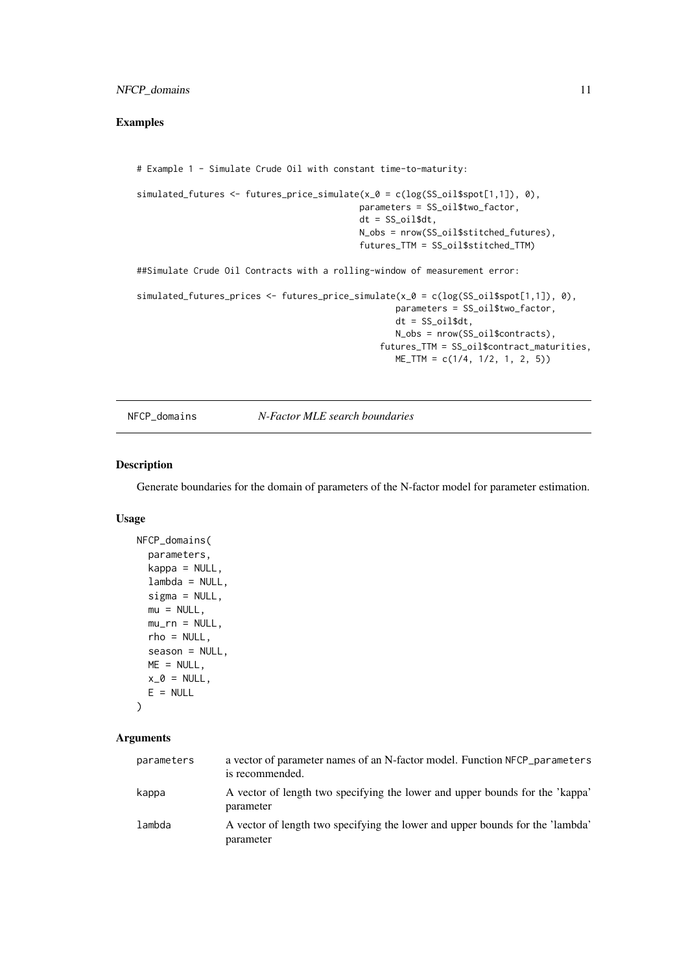#### <span id="page-10-0"></span>Examples

```
# Example 1 - Simulate Crude Oil with constant time-to-maturity:
simulated_futures <- futures_price_simulate(x_0 = c(log(SS_oil$spot[1,1]), 0),
                                           parameters = SS_oil$two_factor,
                                           dt = SS_oil$dt,
                                           N_obs = nrow(SS_oil$stitched_futures),
                                           futures_TTM = SS_oil$stitched_TTM)
##Simulate Crude Oil Contracts with a rolling-window of measurement error:
simulated_futures_prices <- futures_price_simulate(x_0 = c(log(SS_oil$spot[1,1]), 0),
                                                  parameters = SS_oil$two_factor,
                                                  dt = SS_oil$dt,
                                                  N_obs = nrow(SS_oil$contracts),
                                               futures_TTM = SS_oil$contract_maturities,
                                                  ME_TTM = c(1/4, 1/2, 1, 2, 5))
```
NFCP\_domains *N-Factor MLE search boundaries*

#### Description

Generate boundaries for the domain of parameters of the N-factor model for parameter estimation.

#### Usage

```
NFCP_domains(
  parameters,
  kappa = NULL,
  lambda = NULL,sigma = NULL,
  mu = NULL,mu_r = NULL,rho = NULL,
  season = NULL,
  ME = NULL,x_0 = NULL,E = NULL\lambda
```

| parameters | a vector of parameter names of an N-factor model. Function NFCP parameters<br>is recommended. |
|------------|-----------------------------------------------------------------------------------------------|
| kappa      | A vector of length two specifying the lower and upper bounds for the 'kappa'<br>parameter     |
| lambda     | A vector of length two specifying the lower and upper bounds for the 'lambda'<br>parameter    |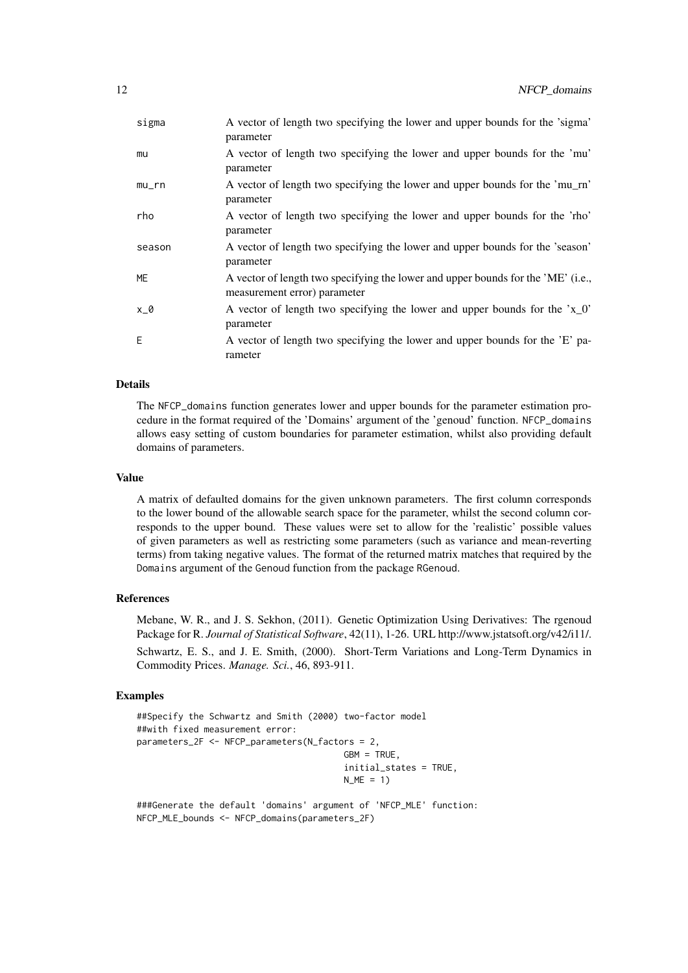| sigma  | A vector of length two specifying the lower and upper bounds for the 'sigma'<br>parameter                        |
|--------|------------------------------------------------------------------------------------------------------------------|
| mu     | A vector of length two specifying the lower and upper bounds for the 'mu'<br>parameter                           |
| mu_rn  | A vector of length two specifying the lower and upper bounds for the 'mu_rn'<br>parameter                        |
| rho    | A vector of length two specifying the lower and upper bounds for the 'rho'<br>parameter                          |
| season | A vector of length two specifying the lower and upper bounds for the 'season'<br>parameter                       |
| ME     | A vector of length two specifying the lower and upper bounds for the 'ME' (i.e.,<br>measurement error) parameter |
| x_0    | A vector of length two specifying the lower and upper bounds for the $x_0$ .<br>parameter                        |
| E      | A vector of length two specifying the lower and upper bounds for the 'E' pa-<br>rameter                          |

#### Details

The NFCP\_domains function generates lower and upper bounds for the parameter estimation procedure in the format required of the 'Domains' argument of the 'genoud' function. NFCP\_domains allows easy setting of custom boundaries for parameter estimation, whilst also providing default domains of parameters.

#### Value

A matrix of defaulted domains for the given unknown parameters. The first column corresponds to the lower bound of the allowable search space for the parameter, whilst the second column corresponds to the upper bound. These values were set to allow for the 'realistic' possible values of given parameters as well as restricting some parameters (such as variance and mean-reverting terms) from taking negative values. The format of the returned matrix matches that required by the Domains argument of the Genoud function from the package RGenoud.

#### References

Mebane, W. R., and J. S. Sekhon, (2011). Genetic Optimization Using Derivatives: The rgenoud Package for R. *Journal of Statistical Software*, 42(11), 1-26. URL http://www.jstatsoft.org/v42/i11/.

Schwartz, E. S., and J. E. Smith, (2000). Short-Term Variations and Long-Term Dynamics in Commodity Prices. *Manage. Sci.*, 46, 893-911.

#### Examples

```
##Specify the Schwartz and Smith (2000) two-factor model
##with fixed measurement error:
parameters_2F <- NFCP_parameters(N_factors = 2,
                                        GBM = TRUE,
                                        initial_states = TRUE,
                                        N_ME = 1
```
###Generate the default 'domains' argument of 'NFCP\_MLE' function: NFCP\_MLE\_bounds <- NFCP\_domains(parameters\_2F)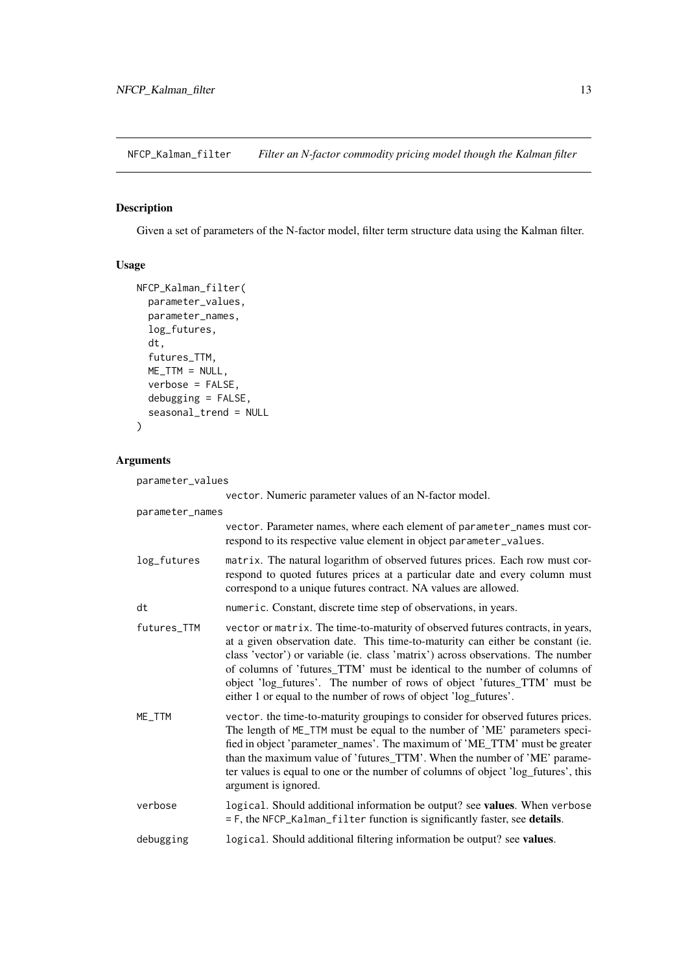<span id="page-12-0"></span>NFCP\_Kalman\_filter *Filter an N-factor commodity pricing model though the Kalman filter*

#### Description

Given a set of parameters of the N-factor model, filter term structure data using the Kalman filter.

## Usage

```
NFCP_Kalman_filter(
  parameter_values,
  parameter_names,
  log_futures,
  dt,
  futures_TTM,
  ME\_TTM = NULL,verbose = FALSE,
  debugging = FALSE,
  seasonal_trend = NULL
\overline{\phantom{a}}
```

| parameter_values |                                                                                                                                                                                                                                                                                                                                                                                                                                                                                    |
|------------------|------------------------------------------------------------------------------------------------------------------------------------------------------------------------------------------------------------------------------------------------------------------------------------------------------------------------------------------------------------------------------------------------------------------------------------------------------------------------------------|
|                  | vector. Numeric parameter values of an N-factor model.                                                                                                                                                                                                                                                                                                                                                                                                                             |
| parameter_names  |                                                                                                                                                                                                                                                                                                                                                                                                                                                                                    |
|                  | vector. Parameter names, where each element of parameter_names must cor-<br>respond to its respective value element in object parameter_values.                                                                                                                                                                                                                                                                                                                                    |
| log_futures      | matrix. The natural logarithm of observed futures prices. Each row must cor-<br>respond to quoted futures prices at a particular date and every column must<br>correspond to a unique futures contract. NA values are allowed.                                                                                                                                                                                                                                                     |
| dt               | numeric. Constant, discrete time step of observations, in years.                                                                                                                                                                                                                                                                                                                                                                                                                   |
| futures_TTM      | vector or matrix. The time-to-maturity of observed futures contracts, in years,<br>at a given observation date. This time-to-maturity can either be constant (ie.<br>class 'vector') or variable (ie. class 'matrix') across observations. The number<br>of columns of 'futures_TTM' must be identical to the number of columns of<br>object 'log_futures'. The number of rows of object 'futures_TTM' must be<br>either 1 or equal to the number of rows of object 'log_futures'. |
| ME TTM           | vector. the time-to-maturity groupings to consider for observed futures prices.<br>The length of ME_TTM must be equal to the number of 'ME' parameters speci-<br>fied in object 'parameter_names'. The maximum of 'ME_TTM' must be greater<br>than the maximum value of 'futures_TTM'. When the number of 'ME' parame-<br>ter values is equal to one or the number of columns of object 'log_futures', this<br>argument is ignored.                                                |
| verbose          | logical. Should additional information be output? see values. When verbose<br>= F, the NFCP_Kalman_filter function is significantly faster, see details.                                                                                                                                                                                                                                                                                                                           |
| debugging        | logical. Should additional filtering information be output? see values.                                                                                                                                                                                                                                                                                                                                                                                                            |
|                  |                                                                                                                                                                                                                                                                                                                                                                                                                                                                                    |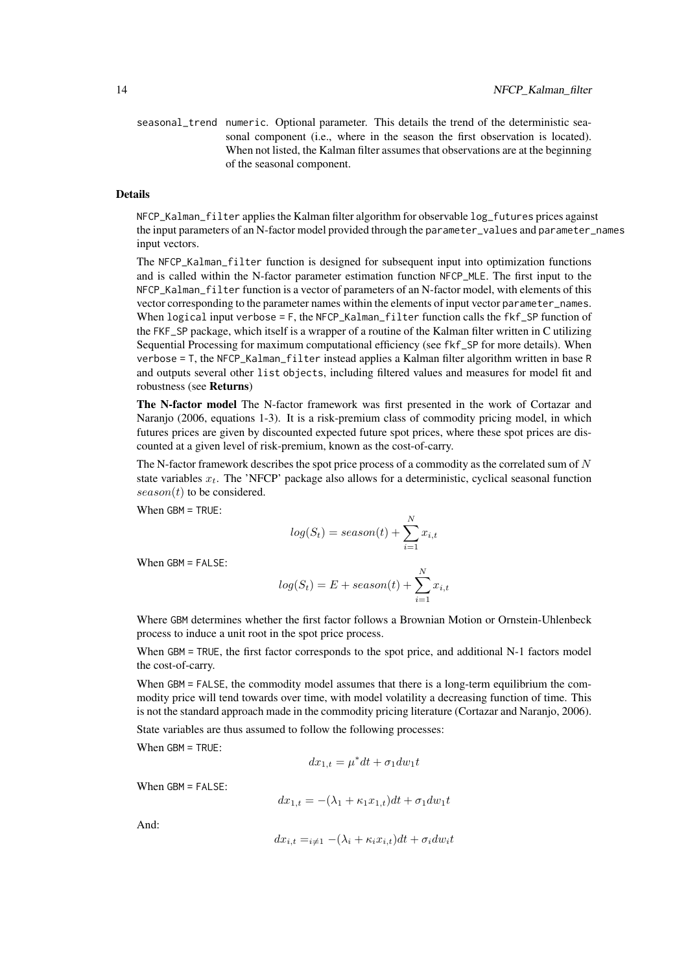seasonal\_trend numeric. Optional parameter. This details the trend of the deterministic seasonal component (i.e., where in the season the first observation is located). When not listed, the Kalman filter assumes that observations are at the beginning of the seasonal component.

#### Details

NFCP\_Kalman\_filter applies the Kalman filter algorithm for observable log\_futures prices against the input parameters of an N-factor model provided through the parameter\_values and parameter\_names input vectors.

The NFCP\_Kalman\_filter function is designed for subsequent input into optimization functions and is called within the N-factor parameter estimation function NFCP\_MLE. The first input to the NFCP\_Kalman\_filter function is a vector of parameters of an N-factor model, with elements of this vector corresponding to the parameter names within the elements of input vector parameter\_names. When logical input verbose = F, the NFCP\_Kalman\_filter function calls the fkf\_SP function of the FKF\_SP package, which itself is a wrapper of a routine of the Kalman filter written in C utilizing Sequential Processing for maximum computational efficiency (see fkf\_SP for more details). When verbose = T, the NFCP\_Kalman\_filter instead applies a Kalman filter algorithm written in base R and outputs several other list objects, including filtered values and measures for model fit and robustness (see Returns)

The N-factor model The N-factor framework was first presented in the work of Cortazar and Naranjo (2006, equations 1-3). It is a risk-premium class of commodity pricing model, in which futures prices are given by discounted expected future spot prices, where these spot prices are discounted at a given level of risk-premium, known as the cost-of-carry.

The N-factor framework describes the spot price process of a commodity as the correlated sum of  $N$ state variables  $x_t$ . The 'NFCP' package also allows for a deterministic, cyclical seasonal function  $season(t)$  to be considered.

When GBM = TRUE:

$$
log(S_t) = season(t) + \sum_{i=1}^{N} x_{i,t}
$$

When GBM = FALSE:

$$
log(S_t) = E + season(t) + \sum_{i=1}^{N} x_{i,t}
$$

Where GBM determines whether the first factor follows a Brownian Motion or Ornstein-Uhlenbeck process to induce a unit root in the spot price process.

When GBM = TRUE, the first factor corresponds to the spot price, and additional N-1 factors model the cost-of-carry.

When GBM = FALSE, the commodity model assumes that there is a long-term equilibrium the commodity price will tend towards over time, with model volatility a decreasing function of time. This is not the standard approach made in the commodity pricing literature (Cortazar and Naranjo, 2006).

State variables are thus assumed to follow the following processes:

When GBM = TRUE:

$$
dx_{1,t} = \mu^* dt + \sigma_1 dw_1 t
$$

When GBM = FALSE:

$$
dx_{1,t} = -(\lambda_1 + \kappa_1 x_{1,t})dt + \sigma_1 dw_1 t
$$

And:

$$
dx_{i,t} =_{i \neq 1} -(\lambda_i + \kappa_i x_{i,t})dt + \sigma_i dw_i t
$$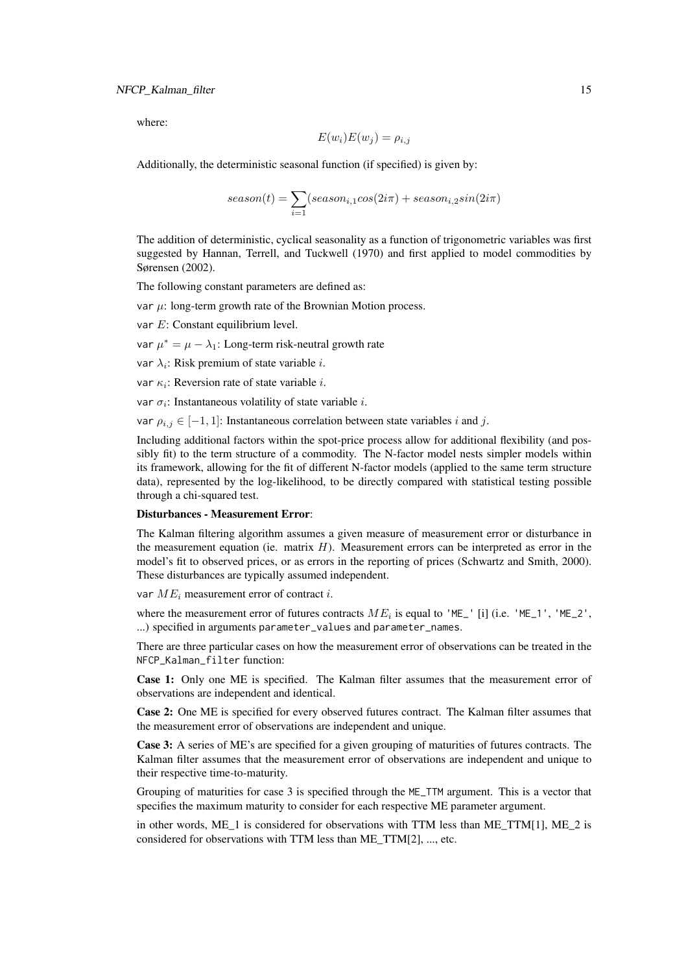where:

$$
E(w_i)E(w_j) = \rho_{i,j}
$$

Additionally, the deterministic seasonal function (if specified) is given by:

$$
season(t) = \sum_{i=1} (season_{i,1}cos(2i\pi) + season_{i,2}sin(2i\pi)
$$

The addition of deterministic, cyclical seasonality as a function of trigonometric variables was first suggested by Hannan, Terrell, and Tuckwell (1970) and first applied to model commodities by Sørensen (2002).

The following constant parameters are defined as:

var  $\mu$ : long-term growth rate of the Brownian Motion process.

var  $E$ : Constant equilibrium level.

var  $\mu^* = \mu - \lambda_1$ : Long-term risk-neutral growth rate

var  $\lambda_i$ : Risk premium of state variable *i*.

var  $\kappa_i$ : Reversion rate of state variable i.

var  $\sigma_i$ : Instantaneous volatility of state variable *i*.

var  $\rho_{i,j} \in [-1,1]$ : Instantaneous correlation between state variables i and j.

Including additional factors within the spot-price process allow for additional flexibility (and possibly fit) to the term structure of a commodity. The N-factor model nests simpler models within its framework, allowing for the fit of different N-factor models (applied to the same term structure data), represented by the log-likelihood, to be directly compared with statistical testing possible through a chi-squared test.

#### Disturbances - Measurement Error:

The Kalman filtering algorithm assumes a given measure of measurement error or disturbance in the measurement equation (ie. matrix  $H$ ). Measurement errors can be interpreted as error in the model's fit to observed prices, or as errors in the reporting of prices (Schwartz and Smith, 2000). These disturbances are typically assumed independent.

var  $ME_i$  measurement error of contract *i*.

where the measurement error of futures contracts  $ME_i$  is equal to 'ME\_' [i] (i.e. 'ME\_1', 'ME\_2', ...) specified in arguments parameter\_values and parameter\_names.

There are three particular cases on how the measurement error of observations can be treated in the NFCP\_Kalman\_filter function:

Case 1: Only one ME is specified. The Kalman filter assumes that the measurement error of observations are independent and identical.

Case 2: One ME is specified for every observed futures contract. The Kalman filter assumes that the measurement error of observations are independent and unique.

Case 3: A series of ME's are specified for a given grouping of maturities of futures contracts. The Kalman filter assumes that the measurement error of observations are independent and unique to their respective time-to-maturity.

Grouping of maturities for case 3 is specified through the ME\_TTM argument. This is a vector that specifies the maximum maturity to consider for each respective ME parameter argument.

in other words, ME\_1 is considered for observations with TTM less than ME\_TTM[1], ME\_2 is considered for observations with TTM less than ME\_TTM[2], ..., etc.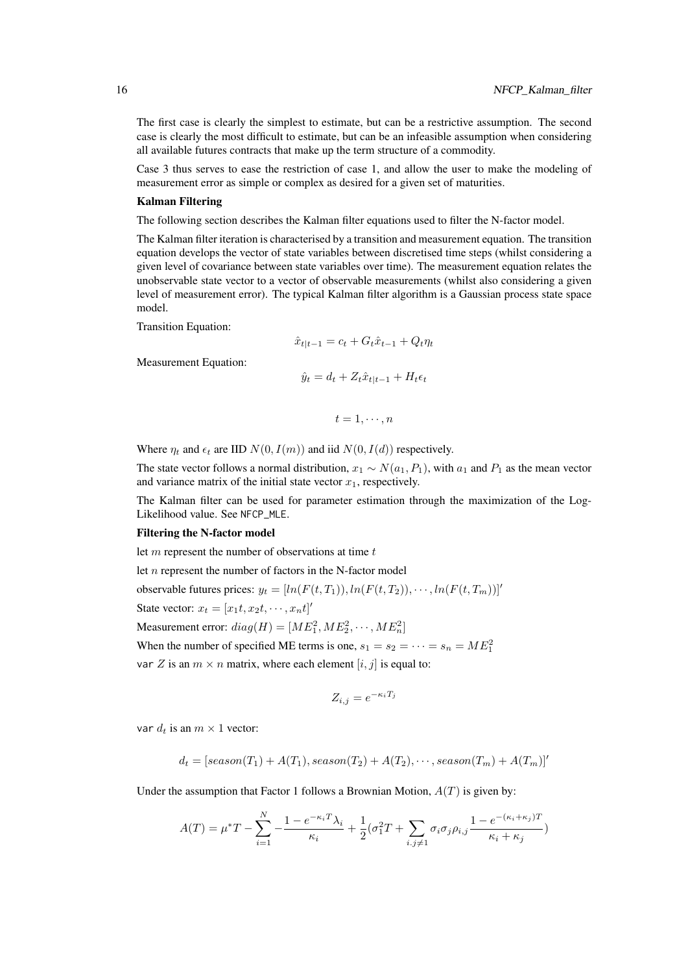The first case is clearly the simplest to estimate, but can be a restrictive assumption. The second case is clearly the most difficult to estimate, but can be an infeasible assumption when considering all available futures contracts that make up the term structure of a commodity.

Case 3 thus serves to ease the restriction of case 1, and allow the user to make the modeling of measurement error as simple or complex as desired for a given set of maturities.

#### Kalman Filtering

The following section describes the Kalman filter equations used to filter the N-factor model.

The Kalman filter iteration is characterised by a transition and measurement equation. The transition equation develops the vector of state variables between discretised time steps (whilst considering a given level of covariance between state variables over time). The measurement equation relates the unobservable state vector to a vector of observable measurements (whilst also considering a given level of measurement error). The typical Kalman filter algorithm is a Gaussian process state space model.

Transition Equation:

$$
\hat{x}_{t|t-1} = c_t + G_t \hat{x}_{t-1} + Q_t \eta_t
$$

Measurement Equation:

$$
\hat{y}_t = d_t + Z_t \hat{x}_{t|t-1} + H_t \epsilon_t
$$

$$
t = 1, \cdots, n
$$

Where  $\eta_t$  and  $\epsilon_t$  are IID  $N(0, I(m))$  and iid  $N(0, I(d))$  respectively.

The state vector follows a normal distribution,  $x_1 \sim N(a_1, P_1)$ , with  $a_1$  and  $P_1$  as the mean vector and variance matrix of the initial state vector  $x_1$ , respectively.

The Kalman filter can be used for parameter estimation through the maximization of the Log-Likelihood value. See NFCP\_MLE.

#### Filtering the N-factor model

let  $m$  represent the number of observations at time  $t$ 

let n represent the number of factors in the N-factor model

observable futures prices:  $y_t = [ln(F(t, T_1)), ln(F(t, T_2)), \cdots, ln(F(t, T_m))]$ 

State vector:  $x_t = [x_1t, x_2t, \dots, x_nt]'$ 

Measurement error:  $diag(H) = [ME_1^2, ME_2^2, \cdots, ME_n^2]$ 

When the number of specified ME terms is one,  $s_1 = s_2 = \cdots = s_n = ME_1^2$ 

var Z is an  $m \times n$  matrix, where each element  $[i, j]$  is equal to:

$$
Z_{i,j} = e^{-\kappa_i T_j}
$$

var  $d_t$  is an  $m \times 1$  vector:

$$
d_t = [season(T_1) + A(T_1), season(T_2) + A(T_2), \cdots, season(T_m) + A(T_m)]'
$$

Under the assumption that Factor 1 follows a Brownian Motion,  $A(T)$  is given by:

$$
A(T) = \mu^* T - \sum_{i=1}^N \frac{1 - e^{-\kappa_i T} \lambda_i}{\kappa_i} + \frac{1}{2} (\sigma_1^2 T + \sum_{i,j \neq 1} \sigma_i \sigma_j \rho_{i,j} \frac{1 - e^{-(\kappa_i + \kappa_j)T}}{\kappa_i + \kappa_j})
$$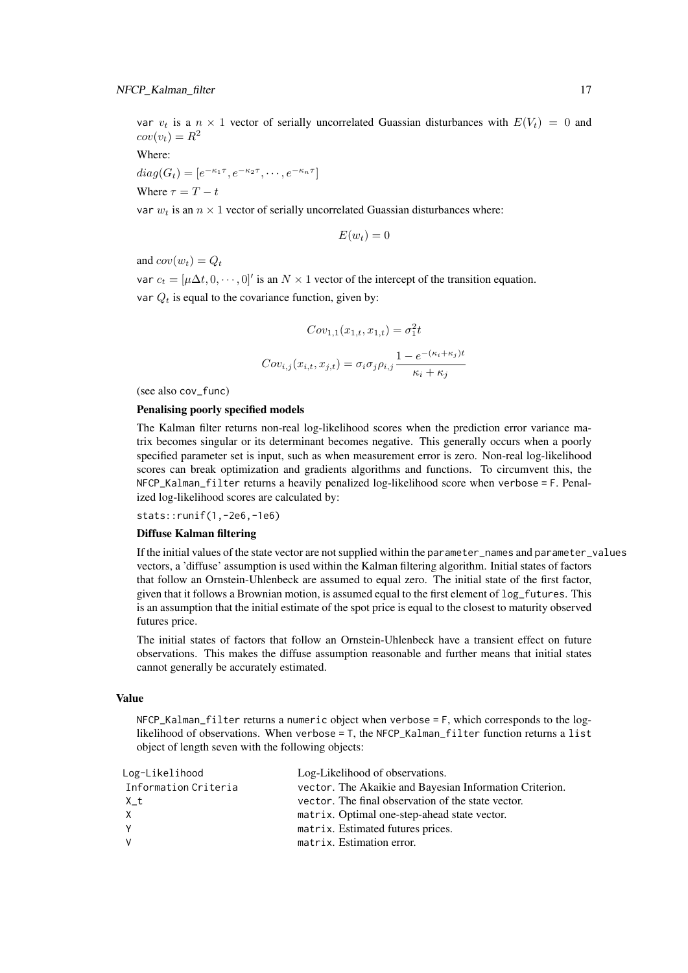var  $v_t$  is a  $n \times 1$  vector of serially uncorrelated Guassian disturbances with  $E(V_t) = 0$  and  $cov(v_t) = R^2$ 

Where:

diag(G<sub>t</sub>) = [
$$
e^{-\kappa_1 \tau}
$$
,  $e^{-\kappa_2 \tau}$ ,  $\cdots$ ,  $e^{-\kappa_n \tau}$ ]  
Where  $\tau = T - t$ 

var  $w_t$  is an  $n \times 1$  vector of serially uncorrelated Guassian disturbances where:

$$
E(w_t)=0
$$

and  $cov(w_t) = Q_t$ 

var  $c_t = [\mu \Delta t, 0, \dots, 0]'$  is an  $N \times 1$  vector of the intercept of the transition equation. var  $Q_t$  is equal to the covariance function, given by:

$$
Cov_{1,1}(x_{1,t}, x_{1,t}) = \sigma_1^2 t
$$

$$
Cov_{i,j}(x_{i,t}, x_{j,t}) = \sigma_i \sigma_j \rho_{i,j} \frac{1 - e^{-(\kappa_i + \kappa_j)t}}{\kappa_i + \kappa_j}
$$

(see also cov\_func)

#### Penalising poorly specified models

The Kalman filter returns non-real log-likelihood scores when the prediction error variance matrix becomes singular or its determinant becomes negative. This generally occurs when a poorly specified parameter set is input, such as when measurement error is zero. Non-real log-likelihood scores can break optimization and gradients algorithms and functions. To circumvent this, the NFCP\_Kalman\_filter returns a heavily penalized log-likelihood score when verbose = F. Penalized log-likelihood scores are calculated by:

stats::runif(1,-2e6,-1e6)

#### Diffuse Kalman filtering

If the initial values of the state vector are not supplied within the parameter\_names and parameter\_values vectors, a 'diffuse' assumption is used within the Kalman filtering algorithm. Initial states of factors that follow an Ornstein-Uhlenbeck are assumed to equal zero. The initial state of the first factor, given that it follows a Brownian motion, is assumed equal to the first element of log\_futures. This is an assumption that the initial estimate of the spot price is equal to the closest to maturity observed futures price.

The initial states of factors that follow an Ornstein-Uhlenbeck have a transient effect on future observations. This makes the diffuse assumption reasonable and further means that initial states cannot generally be accurately estimated.

#### Value

NFCP\_Kalman\_filter returns a numeric object when verbose = F, which corresponds to the loglikelihood of observations. When verbose = T, the NFCP\_Kalman\_filter function returns a list object of length seven with the following objects:

| Log-Likelihood       | Log-Likelihood of observations.                         |
|----------------------|---------------------------------------------------------|
| Information Criteria | vector. The Akaikie and Bayesian Information Criterion. |
| Χt                   | vector. The final observation of the state vector.      |
| X                    | matrix. Optimal one-step-ahead state vector.            |
| Y                    | matrix. Estimated futures prices.                       |
| V                    | matrix. Estimation error.                               |
|                      |                                                         |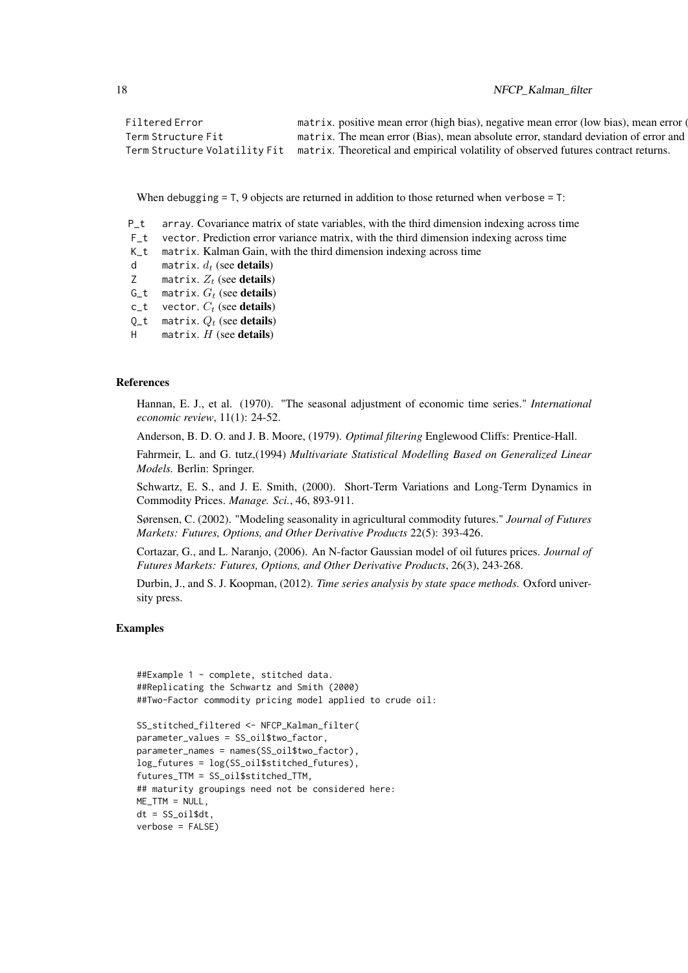Filtered Error matrix, positive mean error (high bias), negative mean error (low bias), mean error ( Term Structure Fit matrix. The mean error (Bias), mean absolute error, standard deviation of error and Term Structure Volatility Fit matrix. Theoretical and empirical volatility of observed futures contract returns.

When debugging  $= 7, 9$  objects are returned in addition to those returned when verbose  $= 7$ :

- P\_t array. Covariance matrix of state variables, with the third dimension indexing across time
- F\_t vector. Prediction error variance matrix, with the third dimension indexing across time
- K\_t matrix. Kalman Gain, with the third dimension indexing across time
- d matrix.  $d_t$  (see **details**)
- Z matrix.  $Z_t$  (see details)
- G\_t matrix.  $G_t$  (see **details**)
- c\_t vector.  $C_t$  (see details)
- Q\_t matrix.  $Q_t$  (see details)
- $H$  matrix.  $H$  (see details)

#### References

Hannan, E. J., et al. (1970). "The seasonal adjustment of economic time series." *International economic review*, 11(1): 24-52.

Anderson, B. D. O. and J. B. Moore, (1979). *Optimal filtering* Englewood Cliffs: Prentice-Hall.

Fahrmeir, L. and G. tutz,(1994) *Multivariate Statistical Modelling Based on Generalized Linear Models.* Berlin: Springer.

Schwartz, E. S., and J. E. Smith, (2000). Short-Term Variations and Long-Term Dynamics in Commodity Prices. *Manage. Sci.*, 46, 893-911.

Sørensen, C. (2002). "Modeling seasonality in agricultural commodity futures." *Journal of Futures Markets: Futures, Options, and Other Derivative Products* 22(5): 393-426.

Cortazar, G., and L. Naranjo, (2006). An N-factor Gaussian model of oil futures prices. *Journal of Futures Markets: Futures, Options, and Other Derivative Products*, 26(3), 243-268.

Durbin, J., and S. J. Koopman, (2012). *Time series analysis by state space methods.* Oxford university press.

#### Examples

```
##Example 1 - complete, stitched data.
##Replicating the Schwartz and Smith (2000)
##Two-Factor commodity pricing model applied to crude oil:
SS_stitched_filtered <- NFCP_Kalman_filter(
parameter_values = SS_oil$two_factor,
parameter_names = names(SS_oil$two_factor),
log_futures = log(SS_oil$stitched_futures),
futures_TTM = SS_oil$stitched_TTM,
## maturity groupings need not be considered here:
ME\_TTM = NULL,dt = SS_oil$dt,
```

```
verbose = FALSE)
```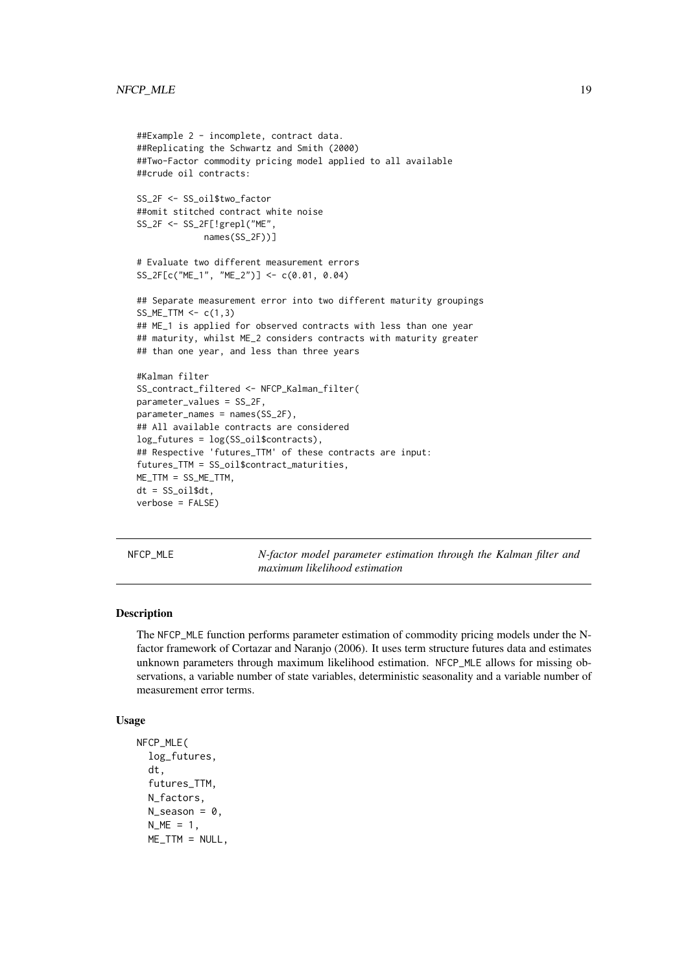```
##Example 2 - incomplete, contract data.
##Replicating the Schwartz and Smith (2000)
##Two-Factor commodity pricing model applied to all available
##crude oil contracts:
SS_2F <- SS_oil$two_factor
##omit stitched contract white noise
SS_2F <- SS_2F[!grepl("ME",
             names(SS_2F))]
# Evaluate two different measurement errors
SS_2F[c("ME_1", "ME_2")] <- c(0.01, 0.04)
## Separate measurement error into two different maturity groupings
SS\_ME\_TTM < -c(1,3)## ME_1 is applied for observed contracts with less than one year
## maturity, whilst ME_2 considers contracts with maturity greater
## than one year, and less than three years
#Kalman filter
SS_contract_filtered <- NFCP_Kalman_filter(
parameter_values = SS_2F,
parameter_names = names(SS_2F),
## All available contracts are considered
log_futures = log(SS_oil$contracts),
## Respective 'futures_TTM' of these contracts are input:
futures_TTM = SS_oil$contract_maturities,
ME_TTM = SS_ME_TTM,
dt = SS_oil$dt,
verbose = FALSE)
```
NFCP\_MLE *N-factor model parameter estimation through the Kalman filter and maximum likelihood estimation*

#### Description

The NFCP\_MLE function performs parameter estimation of commodity pricing models under the Nfactor framework of Cortazar and Naranjo (2006). It uses term structure futures data and estimates unknown parameters through maximum likelihood estimation. NFCP\_MLE allows for missing observations, a variable number of state variables, deterministic seasonality and a variable number of measurement error terms.

#### Usage

```
NFCP_MLE(
  log_futures,
  dt,
  futures_TTM,
  N_factors,
  N_season = \theta,
  N_ME = 1,
  ME\_TTM = NULL,
```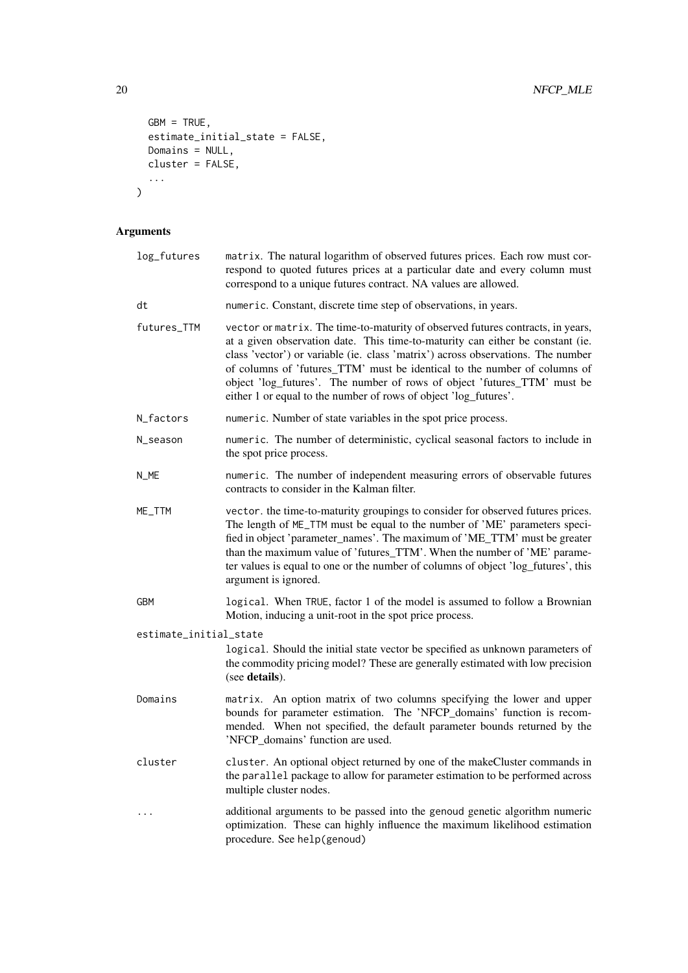```
GBM = TRUE,estimate_initial_state = FALSE,
 Domains = NULL,
 cluster = FALSE,
  ...
\lambda
```

| log_futures            | matrix. The natural logarithm of observed futures prices. Each row must cor-<br>respond to quoted futures prices at a particular date and every column must<br>correspond to a unique futures contract. NA values are allowed.                                                                                                                                                                                                                                                     |
|------------------------|------------------------------------------------------------------------------------------------------------------------------------------------------------------------------------------------------------------------------------------------------------------------------------------------------------------------------------------------------------------------------------------------------------------------------------------------------------------------------------|
| dt                     | numeric. Constant, discrete time step of observations, in years.                                                                                                                                                                                                                                                                                                                                                                                                                   |
| futures_TTM            | vector or matrix. The time-to-maturity of observed futures contracts, in years,<br>at a given observation date. This time-to-maturity can either be constant (ie.<br>class 'vector') or variable (ie. class 'matrix') across observations. The number<br>of columns of 'futures_TTM' must be identical to the number of columns of<br>object 'log_futures'. The number of rows of object 'futures_TTM' must be<br>either 1 or equal to the number of rows of object 'log_futures'. |
| N_factors              | numeric. Number of state variables in the spot price process.                                                                                                                                                                                                                                                                                                                                                                                                                      |
| N_season               | numeric. The number of deterministic, cyclical seasonal factors to include in<br>the spot price process.                                                                                                                                                                                                                                                                                                                                                                           |
| N_ME                   | numeric. The number of independent measuring errors of observable futures<br>contracts to consider in the Kalman filter.                                                                                                                                                                                                                                                                                                                                                           |
| ME_TTM                 | vector. the time-to-maturity groupings to consider for observed futures prices.<br>The length of ME_TTM must be equal to the number of 'ME' parameters speci-<br>fied in object 'parameter_names'. The maximum of 'ME_TTM' must be greater<br>than the maximum value of 'futures_TTM'. When the number of 'ME' parame-<br>ter values is equal to one or the number of columns of object 'log_futures', this<br>argument is ignored.                                                |
| GBM                    | logical. When TRUE, factor 1 of the model is assumed to follow a Brownian<br>Motion, inducing a unit-root in the spot price process.                                                                                                                                                                                                                                                                                                                                               |
| estimate_initial_state |                                                                                                                                                                                                                                                                                                                                                                                                                                                                                    |
|                        | logical. Should the initial state vector be specified as unknown parameters of<br>the commodity pricing model? These are generally estimated with low precision<br>(see details).                                                                                                                                                                                                                                                                                                  |
| Domains                | matrix. An option matrix of two columns specifying the lower and upper<br>bounds for parameter estimation. The 'NFCP_domains' function is recom-<br>mended. When not specified, the default parameter bounds returned by the<br>'NFCP_domains' function are used.                                                                                                                                                                                                                  |
| cluster                | cluster. An optional object returned by one of the makeCluster commands in<br>the parallel package to allow for parameter estimation to be performed across<br>multiple cluster nodes.                                                                                                                                                                                                                                                                                             |
| $\cdots$               | additional arguments to be passed into the genoud genetic algorithm numeric<br>optimization. These can highly influence the maximum likelihood estimation<br>procedure. See help(genoud)                                                                                                                                                                                                                                                                                           |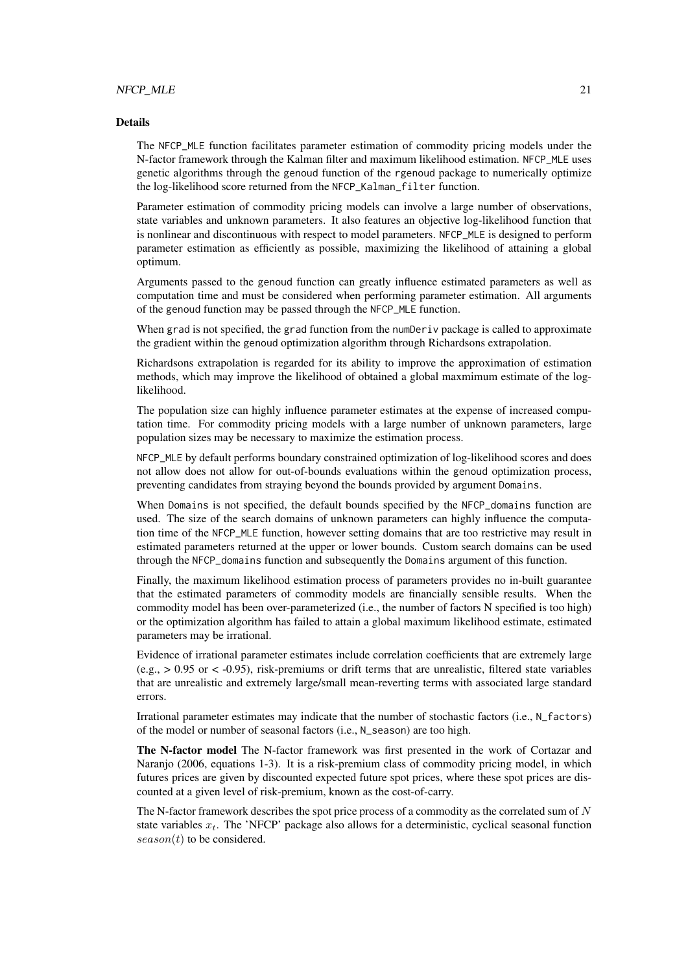#### NFCP\_MLE 21

#### Details

The NFCP\_MLE function facilitates parameter estimation of commodity pricing models under the N-factor framework through the Kalman filter and maximum likelihood estimation. NFCP\_MLE uses genetic algorithms through the genoud function of the rgenoud package to numerically optimize the log-likelihood score returned from the NFCP\_Kalman\_filter function.

Parameter estimation of commodity pricing models can involve a large number of observations, state variables and unknown parameters. It also features an objective log-likelihood function that is nonlinear and discontinuous with respect to model parameters. NFCP\_MLE is designed to perform parameter estimation as efficiently as possible, maximizing the likelihood of attaining a global optimum.

Arguments passed to the genoud function can greatly influence estimated parameters as well as computation time and must be considered when performing parameter estimation. All arguments of the genoud function may be passed through the NFCP\_MLE function.

When grad is not specified, the grad function from the numDeriv package is called to approximate the gradient within the genoud optimization algorithm through Richardsons extrapolation.

Richardsons extrapolation is regarded for its ability to improve the approximation of estimation methods, which may improve the likelihood of obtained a global maxmimum estimate of the loglikelihood.

The population size can highly influence parameter estimates at the expense of increased computation time. For commodity pricing models with a large number of unknown parameters, large population sizes may be necessary to maximize the estimation process.

NFCP\_MLE by default performs boundary constrained optimization of log-likelihood scores and does not allow does not allow for out-of-bounds evaluations within the genoud optimization process, preventing candidates from straying beyond the bounds provided by argument Domains.

When Domains is not specified, the default bounds specified by the NFCP\_domains function are used. The size of the search domains of unknown parameters can highly influence the computation time of the NFCP\_MLE function, however setting domains that are too restrictive may result in estimated parameters returned at the upper or lower bounds. Custom search domains can be used through the NFCP\_domains function and subsequently the Domains argument of this function.

Finally, the maximum likelihood estimation process of parameters provides no in-built guarantee that the estimated parameters of commodity models are financially sensible results. When the commodity model has been over-parameterized (i.e., the number of factors N specified is too high) or the optimization algorithm has failed to attain a global maximum likelihood estimate, estimated parameters may be irrational.

Evidence of irrational parameter estimates include correlation coefficients that are extremely large  $(e.g., > 0.95 \text{ or } < -0.95)$ , risk-premiums or drift terms that are unrealistic, filtered state variables that are unrealistic and extremely large/small mean-reverting terms with associated large standard errors.

Irrational parameter estimates may indicate that the number of stochastic factors (i.e., N\_factors) of the model or number of seasonal factors (i.e., N\_season) are too high.

The N-factor model The N-factor framework was first presented in the work of Cortazar and Naranjo (2006, equations 1-3). It is a risk-premium class of commodity pricing model, in which futures prices are given by discounted expected future spot prices, where these spot prices are discounted at a given level of risk-premium, known as the cost-of-carry.

The N-factor framework describes the spot price process of a commodity as the correlated sum of  $N$ state variables  $x_t$ . The 'NFCP' package also allows for a deterministic, cyclical seasonal function  $season(t)$  to be considered.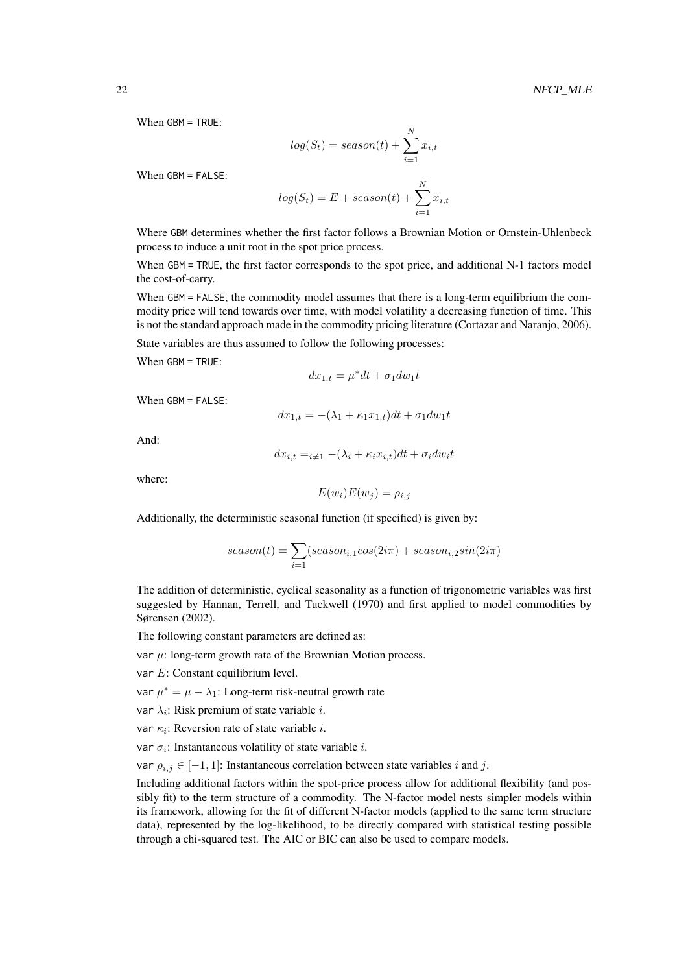When GBM = TRUE:

$$
log(S_t) = season(t) + \sum_{i=1}^{N} x_{i,t}
$$

When GBM = FALSE:

$$
log(S_t) = E + season(t) + \sum_{i=1}^{N} x_{i,t}
$$

Where GBM determines whether the first factor follows a Brownian Motion or Ornstein-Uhlenbeck process to induce a unit root in the spot price process.

When GBM = TRUE, the first factor corresponds to the spot price, and additional N-1 factors model the cost-of-carry.

When GBM = FALSE, the commodity model assumes that there is a long-term equilibrium the commodity price will tend towards over time, with model volatility a decreasing function of time. This is not the standard approach made in the commodity pricing literature (Cortazar and Naranjo, 2006).

State variables are thus assumed to follow the following processes:

When GBM = TRUE:

$$
dx_{1,t} = \mu^* dt + \sigma_1 dw_1 t
$$

When GBM = FALSE:

$$
dx_{1,t} = -(\lambda_1 + \kappa_1 x_{1,t})dt + \sigma_1 dw_1 t
$$

And:

$$
dx_{i,t} =_{i \neq 1} -(\lambda_i + \kappa_i x_{i,t})dt + \sigma_i dw_i t
$$

where:

$$
E(w_i)E(w_j) = \rho_{i,j}
$$

Additionally, the deterministic seasonal function (if specified) is given by:

$$
season(t) = \sum_{i=1} (season_{i,1}cos(2i\pi) + season_{i,2}sin(2i\pi))
$$

The addition of deterministic, cyclical seasonality as a function of trigonometric variables was first suggested by Hannan, Terrell, and Tuckwell (1970) and first applied to model commodities by Sørensen (2002).

The following constant parameters are defined as:

var  $\mu$ : long-term growth rate of the Brownian Motion process.

var E: Constant equilibrium level.

var  $\mu^* = \mu - \lambda_1$ : Long-term risk-neutral growth rate

var  $\lambda_i$ : Risk premium of state variable *i*.

var  $\kappa_i$ : Reversion rate of state variable *i*.

var  $\sigma_i$ : Instantaneous volatility of state variable i.

var  $\rho_{i,j} \in [-1,1]$ : Instantaneous correlation between state variables i and j.

Including additional factors within the spot-price process allow for additional flexibility (and possibly fit) to the term structure of a commodity. The N-factor model nests simpler models within its framework, allowing for the fit of different N-factor models (applied to the same term structure data), represented by the log-likelihood, to be directly compared with statistical testing possible through a chi-squared test. The AIC or BIC can also be used to compare models.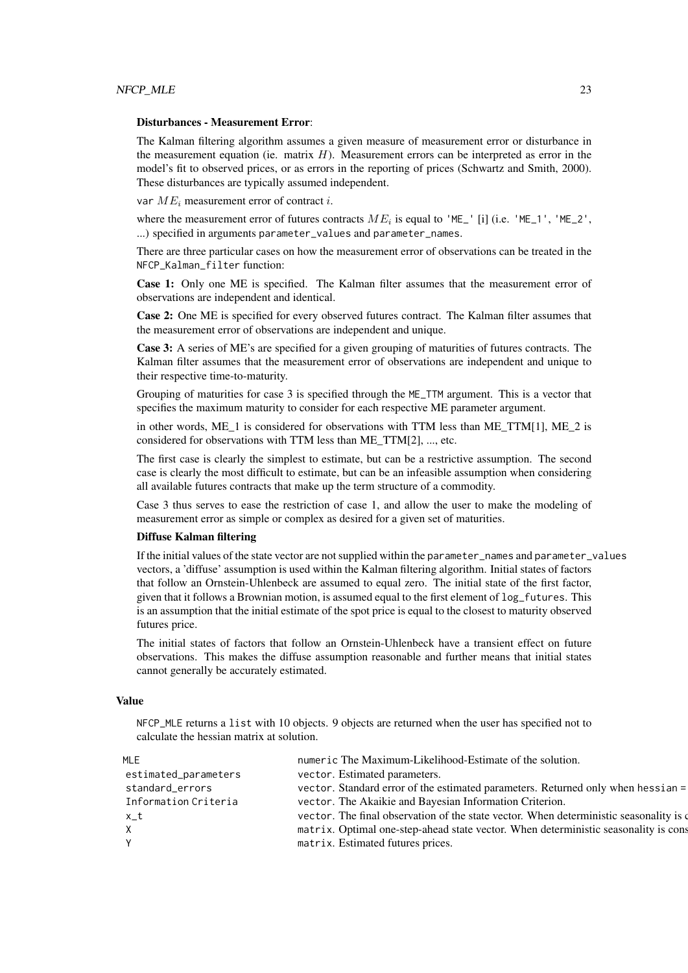#### Disturbances - Measurement Error:

The Kalman filtering algorithm assumes a given measure of measurement error or disturbance in the measurement equation (ie. matrix  $H$ ). Measurement errors can be interpreted as error in the model's fit to observed prices, or as errors in the reporting of prices (Schwartz and Smith, 2000). These disturbances are typically assumed independent.

var  $ME_i$  measurement error of contract i.

where the measurement error of futures contracts  $ME_i$  is equal to 'ME\_' [i] (i.e. 'ME\_1', 'ME\_2', ...) specified in arguments parameter\_values and parameter\_names.

There are three particular cases on how the measurement error of observations can be treated in the NFCP\_Kalman\_filter function:

Case 1: Only one ME is specified. The Kalman filter assumes that the measurement error of observations are independent and identical.

Case 2: One ME is specified for every observed futures contract. The Kalman filter assumes that the measurement error of observations are independent and unique.

Case 3: A series of ME's are specified for a given grouping of maturities of futures contracts. The Kalman filter assumes that the measurement error of observations are independent and unique to their respective time-to-maturity.

Grouping of maturities for case 3 is specified through the ME\_TTM argument. This is a vector that specifies the maximum maturity to consider for each respective ME parameter argument.

in other words, ME 1 is considered for observations with TTM less than ME\_TTM[1], ME\_2 is considered for observations with TTM less than ME\_TTM[2], ..., etc.

The first case is clearly the simplest to estimate, but can be a restrictive assumption. The second case is clearly the most difficult to estimate, but can be an infeasible assumption when considering all available futures contracts that make up the term structure of a commodity.

Case 3 thus serves to ease the restriction of case 1, and allow the user to make the modeling of measurement error as simple or complex as desired for a given set of maturities.

#### Diffuse Kalman filtering

If the initial values of the state vector are not supplied within the parameter\_names and parameter\_values vectors, a 'diffuse' assumption is used within the Kalman filtering algorithm. Initial states of factors that follow an Ornstein-Uhlenbeck are assumed to equal zero. The initial state of the first factor, given that it follows a Brownian motion, is assumed equal to the first element of log\_futures. This is an assumption that the initial estimate of the spot price is equal to the closest to maturity observed futures price.

The initial states of factors that follow an Ornstein-Uhlenbeck have a transient effect on future observations. This makes the diffuse assumption reasonable and further means that initial states cannot generally be accurately estimated.

#### Value

NFCP\_MLE returns a list with 10 objects. 9 objects are returned when the user has specified not to calculate the hessian matrix at solution.

| MLE                  | numeric The Maximum-Likelihood-Estimate of the solution.                               |
|----------------------|----------------------------------------------------------------------------------------|
| estimated_parameters | vector. Estimated parameters.                                                          |
| standard_errors      | vector. Standard error of the estimated parameters. Returned only when hessian =       |
| Information Criteria | vector. The Akaikie and Bayesian Information Criterion.                                |
| x_t                  | vector. The final observation of the state vector. When deterministic seasonality is c |
|                      | matrix. Optimal one-step-ahead state vector. When deterministic seasonality is cons    |
|                      | matrix. Estimated futures prices.                                                      |
|                      |                                                                                        |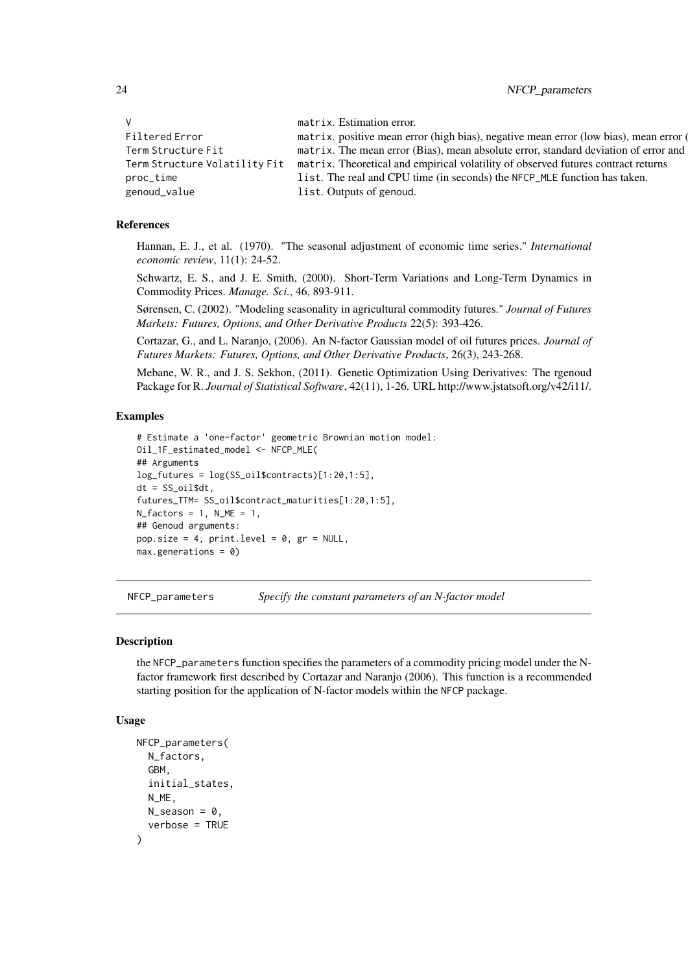<span id="page-23-0"></span>

|                               | matrix. Estimation error.                                                             |
|-------------------------------|---------------------------------------------------------------------------------------|
| Filtered Error                | matrix. positive mean error (high bias), negative mean error (low bias), mean error ( |
| Term Structure Fit            | matrix. The mean error (Bias), mean absolute error, standard deviation of error and   |
| Term Structure Volatility Fit | matrix. Theoretical and empirical volatility of observed futures contract returns     |
| proc_time                     | list. The real and CPU time (in seconds) the NFCP_MLE function has taken.             |
| genoud_value                  | list. Outputs of genoud.                                                              |

#### References

Hannan, E. J., et al. (1970). "The seasonal adjustment of economic time series." *International economic review*, 11(1): 24-52.

Schwartz, E. S., and J. E. Smith, (2000). Short-Term Variations and Long-Term Dynamics in Commodity Prices. *Manage. Sci.*, 46, 893-911.

Sørensen, C. (2002). "Modeling seasonality in agricultural commodity futures." *Journal of Futures Markets: Futures, Options, and Other Derivative Products* 22(5): 393-426.

Cortazar, G., and L. Naranjo, (2006). An N-factor Gaussian model of oil futures prices. *Journal of Futures Markets: Futures, Options, and Other Derivative Products*, 26(3), 243-268.

Mebane, W. R., and J. S. Sekhon, (2011). Genetic Optimization Using Derivatives: The rgenoud Package for R. *Journal of Statistical Software*, 42(11), 1-26. URL http://www.jstatsoft.org/v42/i11/.

#### Examples

```
# Estimate a 'one-factor' geometric Brownian motion model:
Oil_1F_estimated_model <- NFCP_MLE(
## Arguments
log_futures = log(SS_oil$contents)[1:20,1:5],dt = SS_oil$dt,
futures_TTM= SS_oil$contract_maturities[1:20,1:5],
N_factors = 1, N_ME = 1,
## Genoud arguments:
pop.size = 4, print.level = 0, gr = NULL,
max.generations = 0)
```
NFCP\_parameters *Specify the constant parameters of an N-factor model*

#### Description

the NFCP\_parameters function specifies the parameters of a commodity pricing model under the Nfactor framework first described by Cortazar and Naranjo (2006). This function is a recommended starting position for the application of N-factor models within the NFCP package.

#### Usage

```
NFCP_parameters(
  N_factors,
  GBM,
  initial_states,
  N_ME,
  N_season = \theta,
  verbose = TRUE
)
```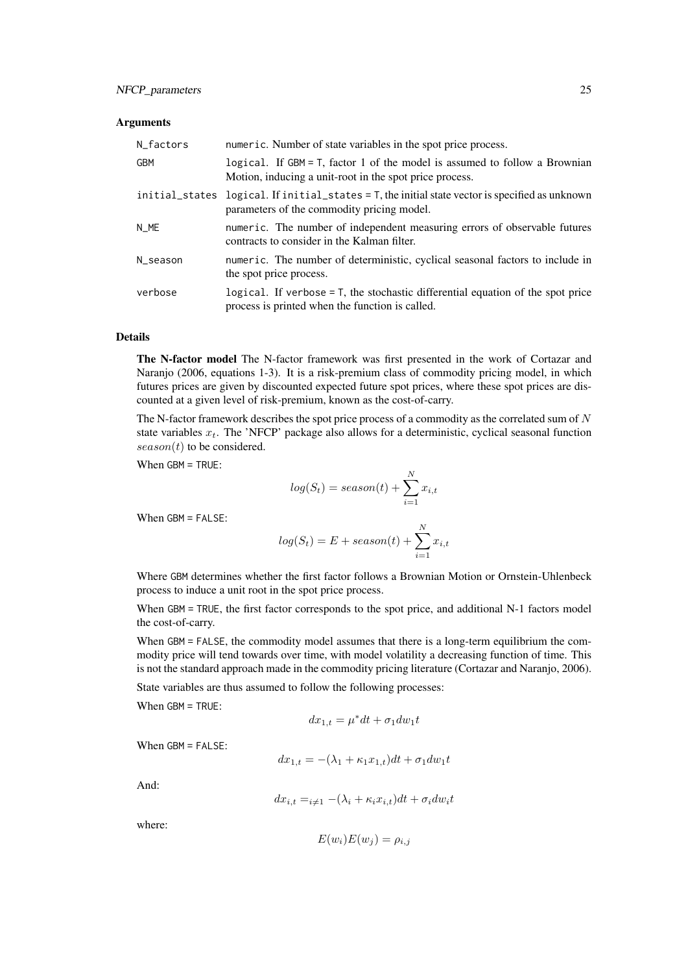#### Arguments

| N_factors  | numeric. Number of state variables in the spot price process.                                                                                 |
|------------|-----------------------------------------------------------------------------------------------------------------------------------------------|
| <b>GBM</b> | logical. If $GBM = T$ , factor 1 of the model is assumed to follow a Brownian<br>Motion, inducing a unit-root in the spot price process.      |
|            | initial_states logical. If initial_states = T, the initial state vector is specified as unknown<br>parameters of the commodity pricing model. |
| N ME       | numeric. The number of independent measuring errors of observable futures<br>contracts to consider in the Kalman filter.                      |
| N_season   | numeric. The number of deterministic, cyclical seasonal factors to include in<br>the spot price process.                                      |
| verbose    | logical. If verbose $=$ T, the stochastic differential equation of the spot price<br>process is printed when the function is called.          |

#### Details

The N-factor model The N-factor framework was first presented in the work of Cortazar and Naranjo (2006, equations 1-3). It is a risk-premium class of commodity pricing model, in which futures prices are given by discounted expected future spot prices, where these spot prices are discounted at a given level of risk-premium, known as the cost-of-carry.

The N-factor framework describes the spot price process of a commodity as the correlated sum of  $N$ state variables  $x_t$ . The 'NFCP' package also allows for a deterministic, cyclical seasonal function  $season(t)$  to be considered.

When GBM =  $TRUF$ 

$$
log(S_t) = season(t) + \sum_{i=1}^{N} x_{i,t}
$$

When GBM = FALSE:

$$
log(S_t) = E + season(t) + \sum_{i=1}^{N} x_{i,t}
$$

Where GBM determines whether the first factor follows a Brownian Motion or Ornstein-Uhlenbeck process to induce a unit root in the spot price process.

When GBM = TRUE, the first factor corresponds to the spot price, and additional N-1 factors model the cost-of-carry.

When GBM = FALSE, the commodity model assumes that there is a long-term equilibrium the commodity price will tend towards over time, with model volatility a decreasing function of time. This is not the standard approach made in the commodity pricing literature (Cortazar and Naranjo, 2006).

State variables are thus assumed to follow the following processes:

When GBM = TRUE:

$$
dx_{1,t} = \mu^* dt + \sigma_1 dw_1 t
$$

When GBM = FALSE:

$$
dx_{1,t} = -(\lambda_1 + \kappa_1 x_{1,t})dt + \sigma_1 dw_1 t
$$

And:

$$
dx_{i,t} =_{i \neq 1} -(\lambda_i + \kappa_i x_{i,t})dt + \sigma_i dw_i t
$$

where:

$$
E(w_i)E(w_j) = \rho_{i,j}
$$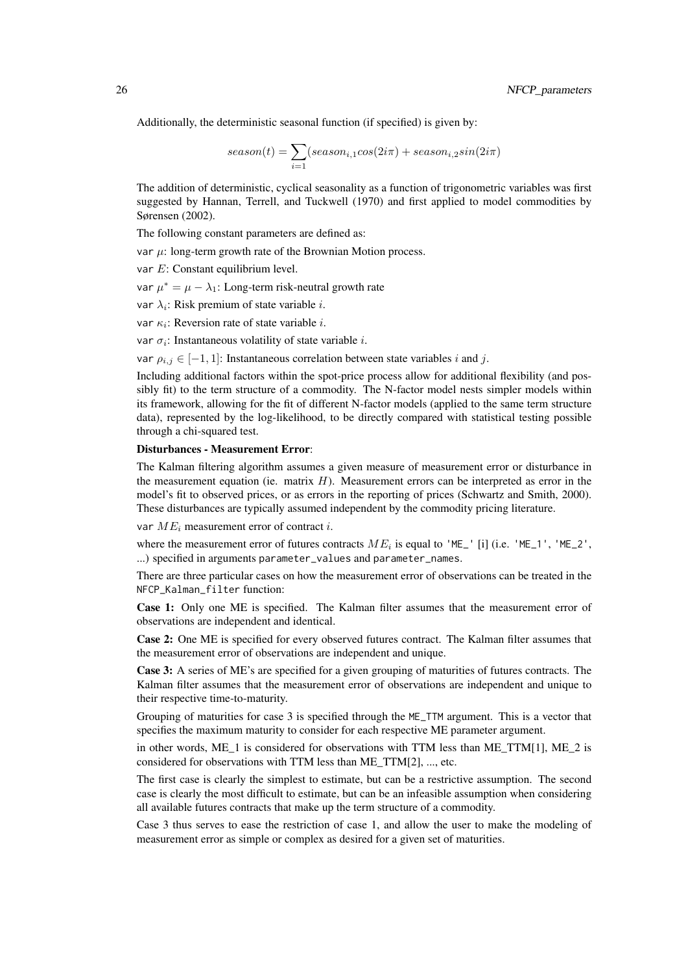Additionally, the deterministic seasonal function (if specified) is given by:

$$
season(t) = \sum_{i=1} (season_{i,1}cos(2i\pi) + season_{i,2}sin(2i\pi))
$$

The addition of deterministic, cyclical seasonality as a function of trigonometric variables was first suggested by Hannan, Terrell, and Tuckwell (1970) and first applied to model commodities by Sørensen (2002).

The following constant parameters are defined as:

var  $\mu$ : long-term growth rate of the Brownian Motion process.

var E: Constant equilibrium level.

var  $\mu^* = \mu - \lambda_1$ : Long-term risk-neutral growth rate

var  $\lambda_i$ : Risk premium of state variable *i*.

var  $\kappa_i$ : Reversion rate of state variable *i*.

var  $\sigma_i$ : Instantaneous volatility of state variable *i*.

var  $\rho_{i,j} \in [-1,1]$ : Instantaneous correlation between state variables i and j.

Including additional factors within the spot-price process allow for additional flexibility (and possibly fit) to the term structure of a commodity. The N-factor model nests simpler models within its framework, allowing for the fit of different N-factor models (applied to the same term structure data), represented by the log-likelihood, to be directly compared with statistical testing possible through a chi-squared test.

#### Disturbances - Measurement Error:

The Kalman filtering algorithm assumes a given measure of measurement error or disturbance in the measurement equation (ie. matrix  $H$ ). Measurement errors can be interpreted as error in the model's fit to observed prices, or as errors in the reporting of prices (Schwartz and Smith, 2000). These disturbances are typically assumed independent by the commodity pricing literature.

var  $ME_i$  measurement error of contract i.

where the measurement error of futures contracts  $ME_i$  is equal to 'ME\_' [i] (i.e. 'ME\_1', 'ME\_2', ...) specified in arguments parameter\_values and parameter\_names.

There are three particular cases on how the measurement error of observations can be treated in the NFCP\_Kalman\_filter function:

Case 1: Only one ME is specified. The Kalman filter assumes that the measurement error of observations are independent and identical.

Case 2: One ME is specified for every observed futures contract. The Kalman filter assumes that the measurement error of observations are independent and unique.

Case 3: A series of ME's are specified for a given grouping of maturities of futures contracts. The Kalman filter assumes that the measurement error of observations are independent and unique to their respective time-to-maturity.

Grouping of maturities for case 3 is specified through the ME\_TTM argument. This is a vector that specifies the maximum maturity to consider for each respective ME parameter argument.

in other words, ME\_1 is considered for observations with TTM less than ME\_TTM[1], ME\_2 is considered for observations with TTM less than ME\_TTM[2], ..., etc.

The first case is clearly the simplest to estimate, but can be a restrictive assumption. The second case is clearly the most difficult to estimate, but can be an infeasible assumption when considering all available futures contracts that make up the term structure of a commodity.

Case 3 thus serves to ease the restriction of case 1, and allow the user to make the modeling of measurement error as simple or complex as desired for a given set of maturities.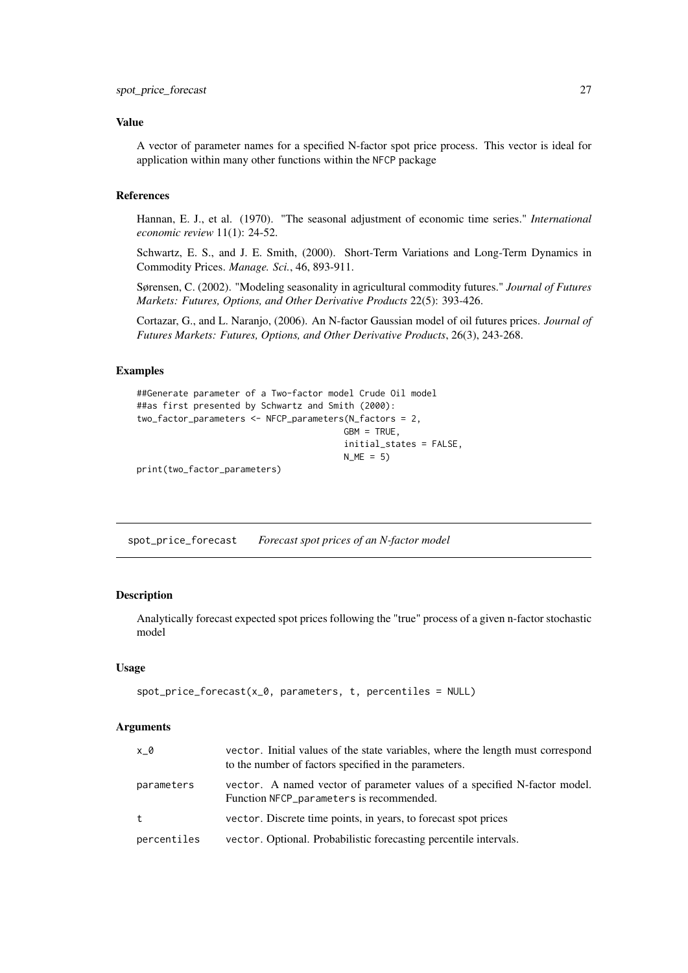#### <span id="page-26-0"></span>Value

A vector of parameter names for a specified N-factor spot price process. This vector is ideal for application within many other functions within the NFCP package

### References

Hannan, E. J., et al. (1970). "The seasonal adjustment of economic time series." *International economic review* 11(1): 24-52.

Schwartz, E. S., and J. E. Smith, (2000). Short-Term Variations and Long-Term Dynamics in Commodity Prices. *Manage. Sci.*, 46, 893-911.

Sørensen, C. (2002). "Modeling seasonality in agricultural commodity futures." *Journal of Futures Markets: Futures, Options, and Other Derivative Products* 22(5): 393-426.

Cortazar, G., and L. Naranjo, (2006). An N-factor Gaussian model of oil futures prices. *Journal of Futures Markets: Futures, Options, and Other Derivative Products*, 26(3), 243-268.

#### Examples

```
##Generate parameter of a Two-factor model Crude Oil model
##as first presented by Schwartz and Smith (2000):
two_factor_parameters <- NFCP_parameters(N_factors = 2,
                                        GBM = TRUE,
                                        initial_states = FALSE,
                                        N_ME = 5)
```
print(two\_factor\_parameters)

spot\_price\_forecast *Forecast spot prices of an N-factor model*

#### Description

Analytically forecast expected spot prices following the "true" process of a given n-factor stochastic model

#### Usage

```
spot\_price\_forecast(x_0, parameters, t, percentage = NULL)
```

| x 0         | vector. Initial values of the state variables, where the length must correspond<br>to the number of factors specified in the parameters. |
|-------------|------------------------------------------------------------------------------------------------------------------------------------------|
| parameters  | vector. A named vector of parameter values of a specified N-factor model.<br>Function NFCP_parameters is recommended.                    |
| t           | vector. Discrete time points, in years, to forecast spot prices                                                                          |
| percentiles | vector. Optional. Probabilistic forecasting percentile intervals.                                                                        |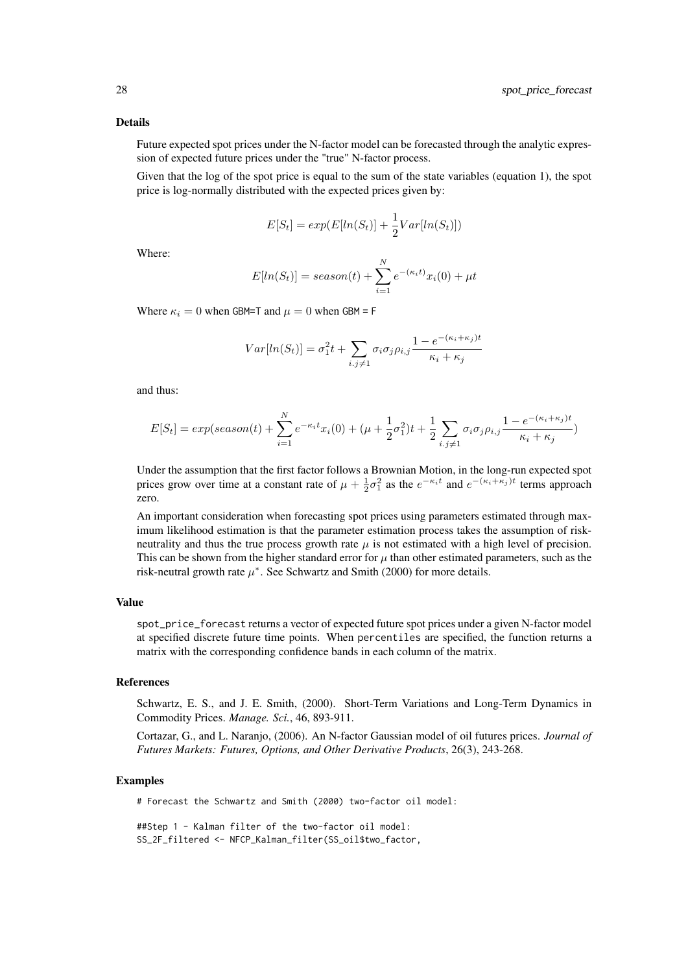#### Details

Future expected spot prices under the N-factor model can be forecasted through the analytic expression of expected future prices under the "true" N-factor process.

Given that the log of the spot price is equal to the sum of the state variables (equation 1), the spot price is log-normally distributed with the expected prices given by:

$$
E[S_t] = exp(E[ln(S_t)] + \frac{1}{2}Var[ln(S_t)])
$$

Where:

$$
E[ln(S_t)] = season(t) + \sum_{i=1}^{N} e^{-(\kappa_i t)} x_i(0) + \mu t
$$

Where  $\kappa_i = 0$  when GBM=T and  $\mu = 0$  when GBM = F

$$
Var[ln(S_t)] = \sigma_1^2 t + \sum_{i,j \neq 1} \sigma_i \sigma_j \rho_{i,j} \frac{1 - e^{-(\kappa_i + \kappa_j)t}}{\kappa_i + \kappa_j}
$$

and thus:

$$
E[S_t] = exp(season(t) + \sum_{i=1}^{N} e^{-\kappa_i t} x_i(0) + (\mu + \frac{1}{2}\sigma_1^2)t + \frac{1}{2}\sum_{i,j\neq 1} \sigma_i \sigma_j \rho_{i,j} \frac{1 - e^{-(\kappa_i + \kappa_j)t}}{\kappa_i + \kappa_j})
$$

Under the assumption that the first factor follows a Brownian Motion, in the long-run expected spot prices grow over time at a constant rate of  $\mu + \frac{1}{2}\sigma_1^2$  as the  $e^{-\kappa_i t}$  and  $e^{-(\kappa_i + \kappa_j)t}$  terms approach zero.

An important consideration when forecasting spot prices using parameters estimated through maximum likelihood estimation is that the parameter estimation process takes the assumption of riskneutrality and thus the true process growth rate  $\mu$  is not estimated with a high level of precision. This can be shown from the higher standard error for  $\mu$  than other estimated parameters, such as the risk-neutral growth rate  $\mu^*$ . See Schwartz and Smith (2000) for more details.

#### Value

spot\_price\_forecast returns a vector of expected future spot prices under a given N-factor model at specified discrete future time points. When percentiles are specified, the function returns a matrix with the corresponding confidence bands in each column of the matrix.

#### References

Schwartz, E. S., and J. E. Smith, (2000). Short-Term Variations and Long-Term Dynamics in Commodity Prices. *Manage. Sci.*, 46, 893-911.

Cortazar, G., and L. Naranjo, (2006). An N-factor Gaussian model of oil futures prices. *Journal of Futures Markets: Futures, Options, and Other Derivative Products*, 26(3), 243-268.

#### Examples

# Forecast the Schwartz and Smith (2000) two-factor oil model:

##Step 1 - Kalman filter of the two-factor oil model: SS\_2F\_filtered <- NFCP\_Kalman\_filter(SS\_oil\$two\_factor,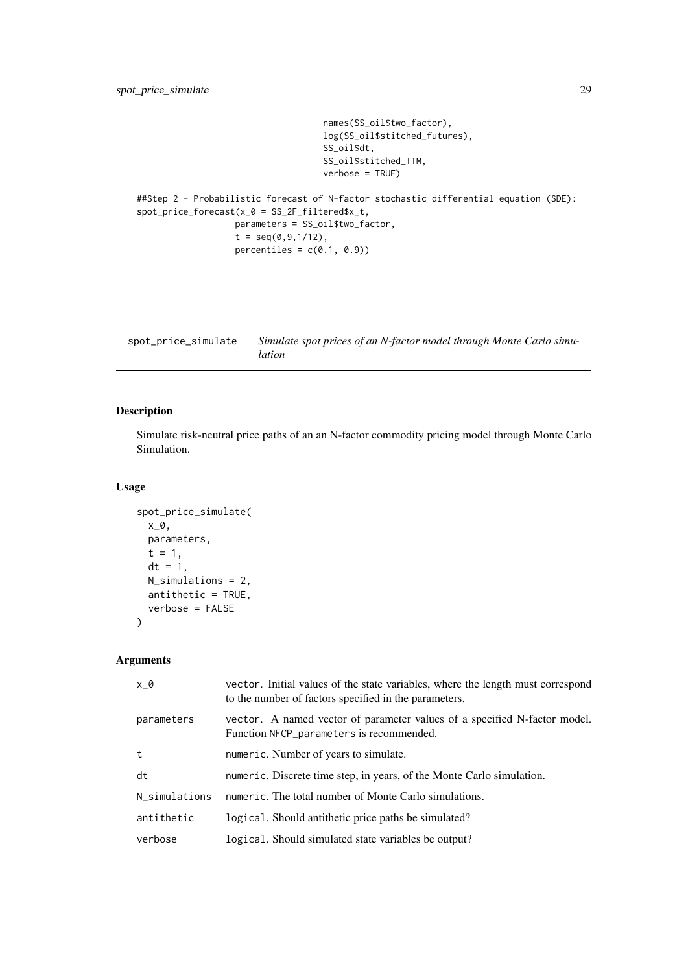```
names(SS_oil$two_factor),
                                     log(SS_oil$stitched_futures),
                                     SS_oil$dt,
                                     SS_oil$stitched_TTM,
                                     verbose = TRUE)
##Step 2 - Probabilistic forecast of N-factor stochastic differential equation (SDE):
spot\_price\_forecast(x_0 = SS_2F_filtered$x_t,
                   parameters = SS_oil$two_factor,
                   t = \text{seq}(0, 9, 1/12),
                   percentiles = c(0.1, 0.9)
```

| spot_price_simulate | Simulate spot prices of an N-factor model through Monte Carlo simu- |
|---------------------|---------------------------------------------------------------------|
|                     | lation                                                              |

#### Description

Simulate risk-neutral price paths of an an N-factor commodity pricing model through Monte Carlo Simulation.

#### Usage

```
spot_price_simulate(
  x_0,
  parameters,
  t = 1,
  dt = 1,
  N_simulations = 2,
  antithetic = TRUE,
  verbose = FALSE
)
```

| x 0           | vector. Initial values of the state variables, where the length must correspond<br>to the number of factors specified in the parameters. |
|---------------|------------------------------------------------------------------------------------------------------------------------------------------|
| parameters    | vector. A named vector of parameter values of a specified N-factor model.<br>Function NFCP_parameters is recommended.                    |
| t             | numeric. Number of years to simulate.                                                                                                    |
| dt            | numeric. Discrete time step, in years, of the Monte Carlo simulation.                                                                    |
| N simulations | numeric. The total number of Monte Carlo simulations.                                                                                    |
| antithetic    | logical. Should antithetic price paths be simulated?                                                                                     |
| verbose       | logical. Should simulated state variables be output?                                                                                     |
|               |                                                                                                                                          |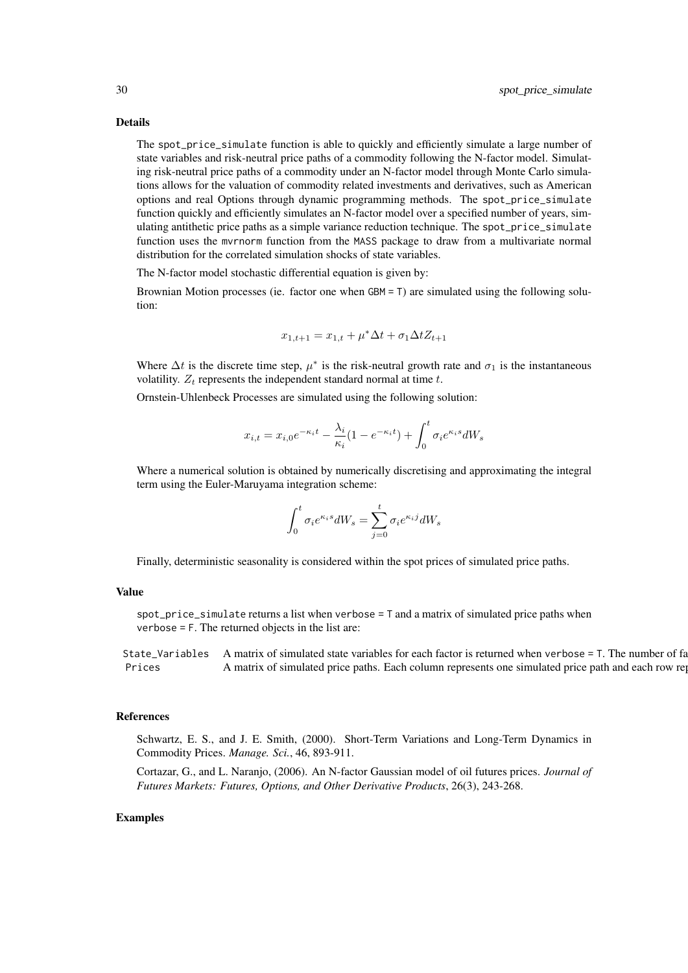#### Details

The spot\_price\_simulate function is able to quickly and efficiently simulate a large number of state variables and risk-neutral price paths of a commodity following the N-factor model. Simulating risk-neutral price paths of a commodity under an N-factor model through Monte Carlo simulations allows for the valuation of commodity related investments and derivatives, such as American options and real Options through dynamic programming methods. The spot\_price\_simulate function quickly and efficiently simulates an N-factor model over a specified number of years, simulating antithetic price paths as a simple variance reduction technique. The spot\_price\_simulate function uses the mvrnorm function from the MASS package to draw from a multivariate normal distribution for the correlated simulation shocks of state variables.

The N-factor model stochastic differential equation is given by:

Brownian Motion processes (ie. factor one when GBM = T) are simulated using the following solution:

$$
x_{1,t+1} = x_{1,t} + \mu^* \Delta t + \sigma_1 \Delta t Z_{t+1}
$$

Where  $\Delta t$  is the discrete time step,  $\mu^*$  is the risk-neutral growth rate and  $\sigma_1$  is the instantaneous volatility.  $Z_t$  represents the independent standard normal at time t.

Ornstein-Uhlenbeck Processes are simulated using the following solution:

$$
x_{i,t} = x_{i,0}e^{-\kappa_i t} - \frac{\lambda_i}{\kappa_i} (1 - e^{-\kappa_i t}) + \int_0^t \sigma_i e^{\kappa_i s} dW_s
$$

Where a numerical solution is obtained by numerically discretising and approximating the integral term using the Euler-Maruyama integration scheme:

$$
\int_0^t \sigma_i e^{\kappa_i s} dW_s = \sum_{j=0}^t \sigma_i e^{\kappa_i j} dW_s
$$

Finally, deterministic seasonality is considered within the spot prices of simulated price paths.

#### Value

spot\_price\_simulate returns a list when verbose = T and a matrix of simulated price paths when verbose = F. The returned objects in the list are:

State\_Variables A matrix of simulated state variables for each factor is returned when verbose = T. The number of fa Prices A matrix of simulated price paths. Each column represents one simulated price path and each row represents

#### References

Schwartz, E. S., and J. E. Smith, (2000). Short-Term Variations and Long-Term Dynamics in Commodity Prices. *Manage. Sci.*, 46, 893-911.

Cortazar, G., and L. Naranjo, (2006). An N-factor Gaussian model of oil futures prices. *Journal of Futures Markets: Futures, Options, and Other Derivative Products*, 26(3), 243-268.

#### Examples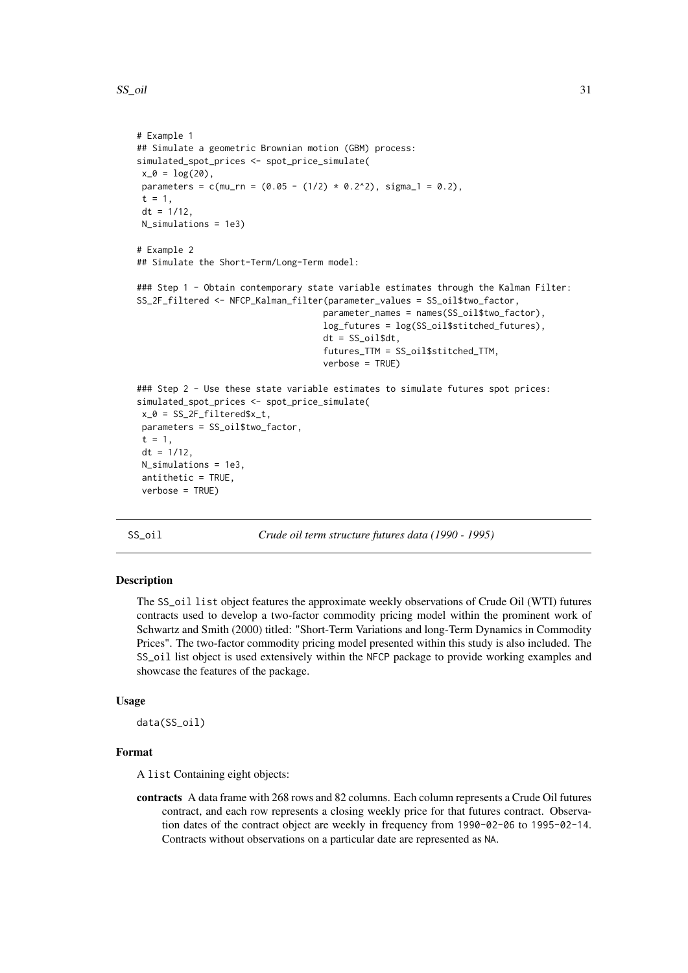<span id="page-30-0"></span> $SS\_oil$  31

```
# Example 1
## Simulate a geometric Brownian motion (GBM) process:
simulated_spot_prices <- spot_price_simulate(
x_0 = \log(20),
parameters = c(mu_rn = (0.05 - (1/2) * 0.2^2), sigma_1 = 0.2),
 t = 1.
dt = 1/12.
N simulations = 1e3)
# Example 2
## Simulate the Short-Term/Long-Term model:
### Step 1 - Obtain contemporary state variable estimates through the Kalman Filter:
SS_2F_filtered <- NFCP_Kalman_filter(parameter_values = SS_oil$two_factor,
                                    parameter_names = names(SS_oil$two_factor),
                                    log_futures = log(SS_oil$stitched_futures),
                                    dt = SS oil$dt.
                                    futures_TTM = SS_oil$stitched_TTM,
                                    verbose = TRUE)
### Step 2 - Use these state variable estimates to simulate futures spot prices:
simulated_spot_prices <- spot_price_simulate(
 x_0 = SS_2F_filtered$x_t,
 parameters = SS_oil$two_factor,
 t = 1.
 dt = 1/12,
 N_simulations = 1e3,
 antithetic = TRUE,
 verbose = TRUE)
```
SS\_oil *Crude oil term structure futures data (1990 - 1995)*

#### Description

The SS\_oil list object features the approximate weekly observations of Crude Oil (WTI) futures contracts used to develop a two-factor commodity pricing model within the prominent work of Schwartz and Smith (2000) titled: "Short-Term Variations and long-Term Dynamics in Commodity Prices". The two-factor commodity pricing model presented within this study is also included. The SS\_oil list object is used extensively within the NFCP package to provide working examples and showcase the features of the package.

#### Usage

data(SS\_oil)

#### Format

A list Containing eight objects:

contracts A data frame with 268 rows and 82 columns. Each column represents a Crude Oil futures contract, and each row represents a closing weekly price for that futures contract. Observation dates of the contract object are weekly in frequency from 1990-02-06 to 1995-02-14. Contracts without observations on a particular date are represented as NA.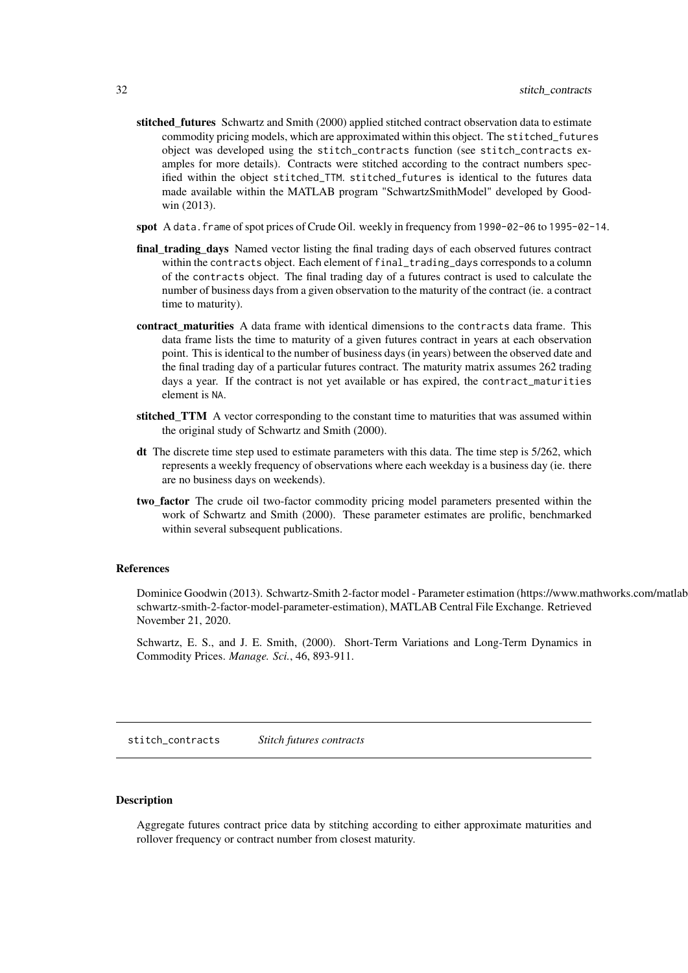- <span id="page-31-0"></span>stitched futures Schwartz and Smith (2000) applied stitched contract observation data to estimate commodity pricing models, which are approximated within this object. The stitched\_futures object was developed using the stitch\_contracts function (see stitch\_contracts examples for more details). Contracts were stitched according to the contract numbers specified within the object stitched\_TTM. stitched\_futures is identical to the futures data made available within the MATLAB program "SchwartzSmithModel" developed by Goodwin (2013).
- spot A data.frame of spot prices of Crude Oil. weekly in frequency from 1990-02-06 to 1995-02-14.
- final trading days Named vector listing the final trading days of each observed futures contract within the contracts object. Each element of final trading days corresponds to a column of the contracts object. The final trading day of a futures contract is used to calculate the number of business days from a given observation to the maturity of the contract (ie. a contract time to maturity).
- contract maturities A data frame with identical dimensions to the contracts data frame. This data frame lists the time to maturity of a given futures contract in years at each observation point. This is identical to the number of business days (in years) between the observed date and the final trading day of a particular futures contract. The maturity matrix assumes 262 trading days a year. If the contract is not yet available or has expired, the contract\_maturities element is NA.
- stitched\_TTM A vector corresponding to the constant time to maturities that was assumed within the original study of Schwartz and Smith (2000).
- dt The discrete time step used to estimate parameters with this data. The time step is 5/262, which represents a weekly frequency of observations where each weekday is a business day (ie. there are no business days on weekends).
- two\_factor The crude oil two-factor commodity pricing model parameters presented within the work of Schwartz and Smith (2000). These parameter estimates are prolific, benchmarked within several subsequent publications.

#### References

Dominice Goodwin (2013). Schwartz-Smith 2-factor model - Parameter estimation (https://www.mathworks.com/matlab schwartz-smith-2-factor-model-parameter-estimation), MATLAB Central File Exchange. Retrieved November 21, 2020.

Schwartz, E. S., and J. E. Smith, (2000). Short-Term Variations and Long-Term Dynamics in Commodity Prices. *Manage. Sci.*, 46, 893-911.

stitch\_contracts *Stitch futures contracts*

#### Description

Aggregate futures contract price data by stitching according to either approximate maturities and rollover frequency or contract number from closest maturity.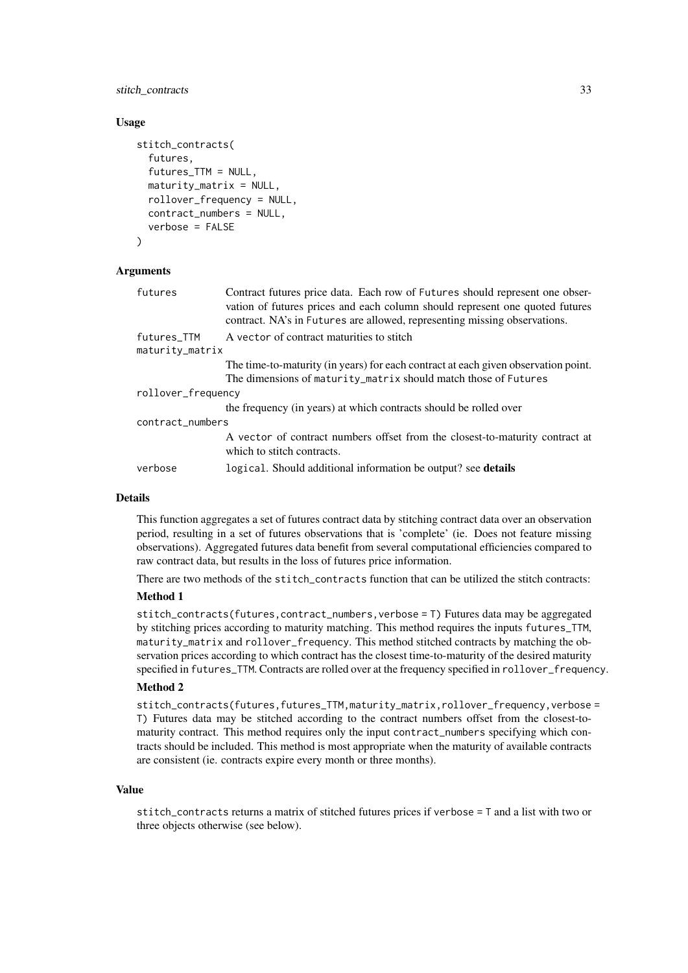#### stitch\_contracts 33

#### Usage

```
stitch_contracts(
  futures,
  futures_TTM = NULL,
 maturity_matrix = NULL,
 rollover_frequency = NULL,
  contract_numbers = NULL,
  verbose = FALSE
\lambda
```
#### Arguments

| futures            | Contract futures price data. Each row of Futures should represent one obser-<br>vation of futures prices and each column should represent one quoted futures<br>contract. NA's in Futures are allowed, representing missing observations. |
|--------------------|-------------------------------------------------------------------------------------------------------------------------------------------------------------------------------------------------------------------------------------------|
| futures TTM        | A vector of contract maturities to stitch                                                                                                                                                                                                 |
| maturity_matrix    |                                                                                                                                                                                                                                           |
|                    | The time-to-maturity (in years) for each contract at each given observation point.                                                                                                                                                        |
|                    | The dimensions of maturity_matrix should match those of Futures                                                                                                                                                                           |
| rollover_frequency |                                                                                                                                                                                                                                           |
|                    | the frequency (in years) at which contracts should be rolled over                                                                                                                                                                         |
| contract_numbers   |                                                                                                                                                                                                                                           |
|                    | A vector of contract numbers offset from the closest-to-maturity contract at                                                                                                                                                              |
|                    | which to stitch contracts.                                                                                                                                                                                                                |
| verbose            | logical. Should additional information be output? see <b>details</b>                                                                                                                                                                      |
|                    |                                                                                                                                                                                                                                           |

#### Details

This function aggregates a set of futures contract data by stitching contract data over an observation period, resulting in a set of futures observations that is 'complete' (ie. Does not feature missing observations). Aggregated futures data benefit from several computational efficiencies compared to raw contract data, but results in the loss of futures price information.

There are two methods of the stitch contracts function that can be utilized the stitch contracts:

#### Method 1

stitch\_contracts(futures,contract\_numbers,verbose = T) Futures data may be aggregated by stitching prices according to maturity matching. This method requires the inputs futures\_TTM, maturity\_matrix and rollover\_frequency. This method stitched contracts by matching the observation prices according to which contract has the closest time-to-maturity of the desired maturity specified in futures\_TTM. Contracts are rolled over at the frequency specified in rollover\_frequency.

#### Method 2

stitch\_contracts(futures,futures\_TTM,maturity\_matrix,rollover\_frequency,verbose = T) Futures data may be stitched according to the contract numbers offset from the closest-tomaturity contract. This method requires only the input contract\_numbers specifying which contracts should be included. This method is most appropriate when the maturity of available contracts are consistent (ie. contracts expire every month or three months).

#### Value

stitch\_contracts returns a matrix of stitched futures prices if verbose = T and a list with two or three objects otherwise (see below).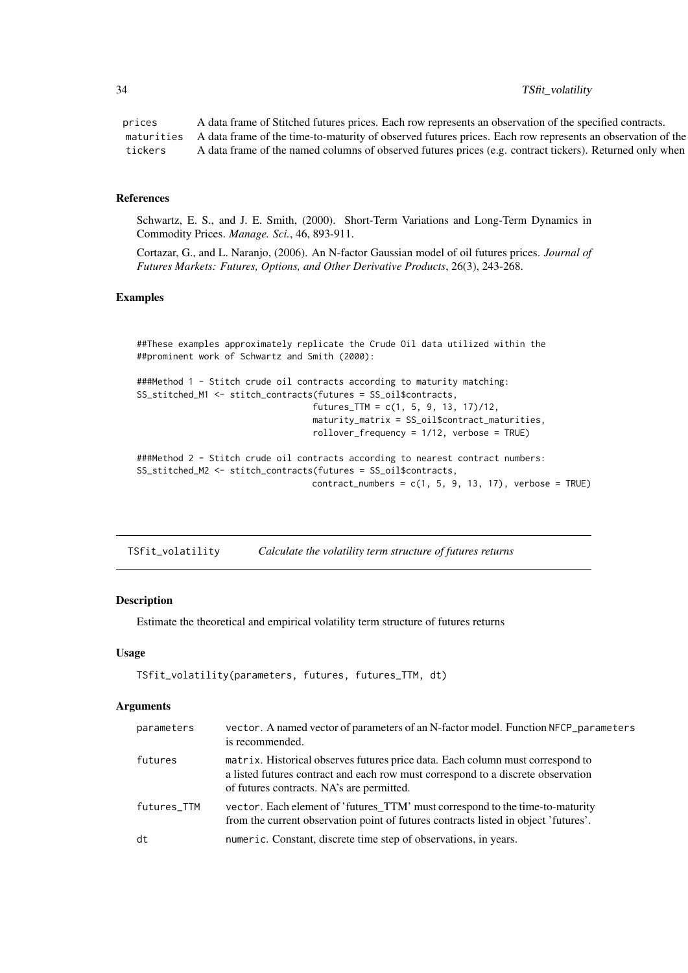#### <span id="page-33-0"></span>34 TSfit\_volatility

prices A data frame of Stitched futures prices. Each row represents an observation of the specified contracts. maturities A data frame of the time-to-maturity of observed futures prices. Each row represents an observation of the tickers A data frame of the named columns of observed futures prices (e.g. contract tickers). Returned only when

#### References

Schwartz, E. S., and J. E. Smith, (2000). Short-Term Variations and Long-Term Dynamics in Commodity Prices. *Manage. Sci.*, 46, 893-911.

Cortazar, G., and L. Naranjo, (2006). An N-factor Gaussian model of oil futures prices. *Journal of Futures Markets: Futures, Options, and Other Derivative Products*, 26(3), 243-268.

#### Examples

##These examples approximately replicate the Crude Oil data utilized within the ##prominent work of Schwartz and Smith (2000):

```
###Method 1 - Stitch crude oil contracts according to maturity matching:
SS_stitched_M1 <- stitch_contracts(futures = SS_oil$contracts,
                                  futures_TTM = c(1, 5, 9, 13, 17)/12,
                                  maturity_matrix = SS_oil$contract_maturities,
                                  rollover_frequency = 1/12, verbose = TRUE)
```

```
###Method 2 - Stitch crude oil contracts according to nearest contract numbers:
SS_stitched_M2 <- stitch_contracts(futures = SS_oil$contracts,
                                  contract_numbers = c(1, 5, 9, 13, 17), verbose = TRUE)
```
TSfit\_volatility *Calculate the volatility term structure of futures returns*

#### Description

Estimate the theoretical and empirical volatility term structure of futures returns

#### Usage

```
TSfit_volatility(parameters, futures, futures_TTM, dt)
```

| parameters  | vector. A named vector of parameters of an N-factor model. Function NFCP_parameters<br>is recommended.                                                                                                          |
|-------------|-----------------------------------------------------------------------------------------------------------------------------------------------------------------------------------------------------------------|
| futures     | matrix. Historical observes futures price data. Each column must correspond to<br>a listed futures contract and each row must correspond to a discrete observation<br>of futures contracts. NA's are permitted. |
| futures_TTM | vector. Each element of 'futures_TTM' must correspond to the time-to-maturity<br>from the current observation point of futures contracts listed in object 'futures'.                                            |
| dt          | numeric. Constant, discrete time step of observations, in years.                                                                                                                                                |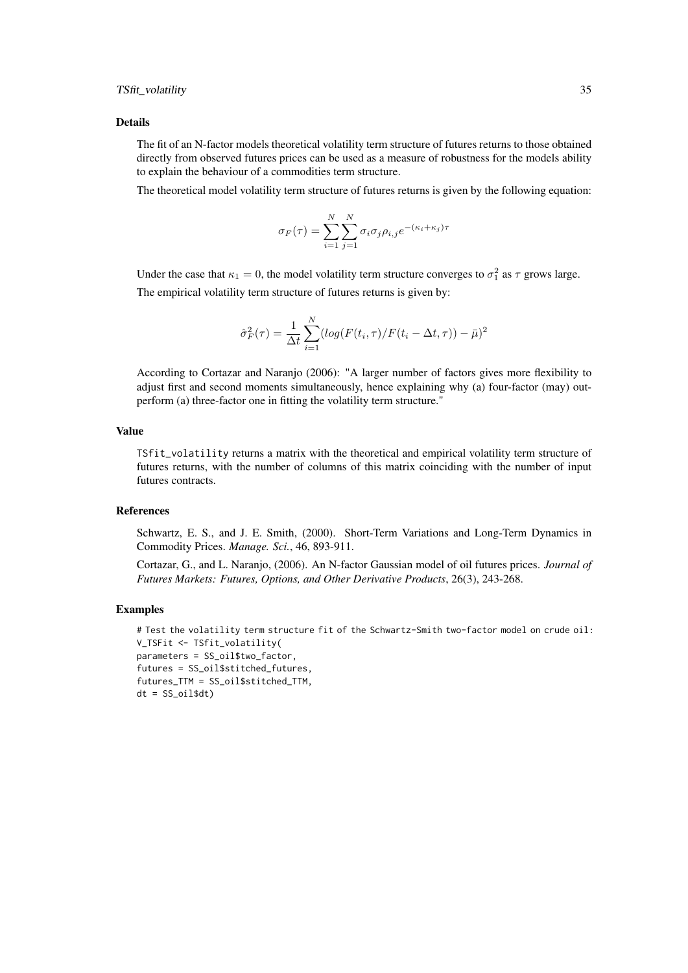#### Details

The fit of an N-factor models theoretical volatility term structure of futures returns to those obtained directly from observed futures prices can be used as a measure of robustness for the models ability to explain the behaviour of a commodities term structure.

The theoretical model volatility term structure of futures returns is given by the following equation:

$$
\sigma_F(\tau) = \sum_{i=1}^N \sum_{j=1}^N \sigma_i \sigma_j \rho_{i,j} e^{-(\kappa_i + \kappa_j)\tau}
$$

Under the case that  $\kappa_1 = 0$ , the model volatility term structure converges to  $\sigma_1^2$  as  $\tau$  grows large. The empirical volatility term structure of futures returns is given by:

$$
\hat{\sigma}_F^2(\tau) = \frac{1}{\Delta t} \sum_{i=1}^N (log(F(t_i, \tau) / F(t_i - \Delta t, \tau)) - \bar{\mu})^2
$$

According to Cortazar and Naranjo (2006): "A larger number of factors gives more flexibility to adjust first and second moments simultaneously, hence explaining why (a) four-factor (may) outperform (a) three-factor one in fitting the volatility term structure."

#### Value

TSfit\_volatility returns a matrix with the theoretical and empirical volatility term structure of futures returns, with the number of columns of this matrix coinciding with the number of input futures contracts.

#### References

Schwartz, E. S., and J. E. Smith, (2000). Short-Term Variations and Long-Term Dynamics in Commodity Prices. *Manage. Sci.*, 46, 893-911.

Cortazar, G., and L. Naranjo, (2006). An N-factor Gaussian model of oil futures prices. *Journal of Futures Markets: Futures, Options, and Other Derivative Products*, 26(3), 243-268.

#### Examples

```
# Test the volatility term structure fit of the Schwartz-Smith two-factor model on crude oil:
V_TSFit <- TSfit_volatility(
parameters = SS_oil$two_factor,
futures = SS_oil$stitched_futures,
futures_TTM = SS_oil$stitched_TTM,
dt = SS_oil$dt)
```